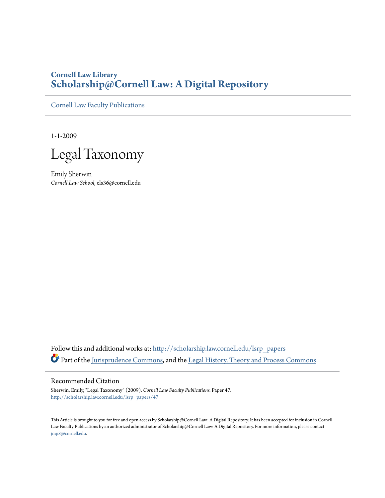# **Cornell Law Library [Scholarship@Cornell Law: A Digital Repository](http://scholarship.law.cornell.edu?utm_source=scholarship.law.cornell.edu%2Flsrp_papers%2F47&utm_medium=PDF&utm_campaign=PDFCoverPages)**

[Cornell Law Faculty Publications](http://scholarship.law.cornell.edu/lsrp_papers?utm_source=scholarship.law.cornell.edu%2Flsrp_papers%2F47&utm_medium=PDF&utm_campaign=PDFCoverPages)

1-1-2009

Legal Taxonomy

Emily Sherwin *Cornell Law School*, els36@cornell.edu

Follow this and additional works at: [http://scholarship.law.cornell.edu/lsrp\\_papers](http://scholarship.law.cornell.edu/lsrp_papers?utm_source=scholarship.law.cornell.edu%2Flsrp_papers%2F47&utm_medium=PDF&utm_campaign=PDFCoverPages) Part of the [Jurisprudence Commons,](http://network.bepress.com/hgg/discipline/610?utm_source=scholarship.law.cornell.edu%2Flsrp_papers%2F47&utm_medium=PDF&utm_campaign=PDFCoverPages) and the [Legal History, Theory and Process Commons](http://network.bepress.com/hgg/discipline/904?utm_source=scholarship.law.cornell.edu%2Flsrp_papers%2F47&utm_medium=PDF&utm_campaign=PDFCoverPages)

# Recommended Citation

Sherwin, Emily, "Legal Taxonomy" (2009). *Cornell Law Faculty Publications.* Paper 47. [http://scholarship.law.cornell.edu/lsrp\\_papers/47](http://scholarship.law.cornell.edu/lsrp_papers/47?utm_source=scholarship.law.cornell.edu%2Flsrp_papers%2F47&utm_medium=PDF&utm_campaign=PDFCoverPages)

This Article is brought to you for free and open access by Scholarship@Cornell Law: A Digital Repository. It has been accepted for inclusion in Cornell Law Faculty Publications by an authorized administrator of Scholarship@Cornell Law: A Digital Repository. For more information, please contact [jmp8@cornell.edu.](mailto:jmp8@cornell.edu)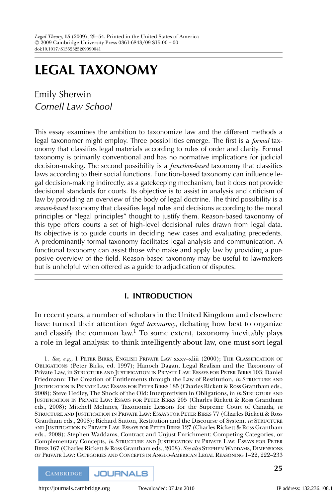# **LEGAL TAXONOMY**

Emily Sherwin Cornell Law School

This essay examines the ambition to taxonomize law and the different methods a legal taxonomer might employ. Three possibilities emerge. The first is a *formal* taxonomy that classifies legal materials according to rules of order and clarity. Formal taxonomy is primarily conventional and has no normative implications for judicial decision-making. The second possibility is a *function-based* taxonomy that classifies laws according to their social functions. Function-based taxonomy can influence legal decision-making indirectly, as a gatekeeping mechanism, but it does not provide decisional standards for courts. Its objective is to assist in analysis and criticism of law by providing an overview of the body of legal doctrine. The third possibility is a *reason-based* taxonomy that classifies legal rules and decisions according to the moral principles or "legal principles" thought to justify them. Reason-based taxonomy of this type offers courts a set of high-level decisional rules drawn from legal data. Its objective is to guide courts in deciding new cases and evaluating precedents. A predominantly formal taxonomy facilitates legal analysis and communication. A functional taxonomy can assist those who make and apply law by providing a purposive overview of the field. Reason-based taxonomy may be useful to lawmakers but is unhelpful when offered as a guide to adjudication of disputes.

# **I. INTRODUCTION**

In recent years, a number of scholars in the United Kingdom and elsewhere have turned their attention *legal taxonomy*, debating how best to organize and classify the common law.<sup>1</sup> To some extent, taxonomy inevitably plays a role in legal analysis: to think intelligently about law, one must sort legal

1. *See, e.g.*,1PETER BIRKS, ENGLISH PRIVATE LAW xxxv–xliii (2000); THE CLASSIFICATION OF OBLIGATIONS (Peter Birks, ed. 1997); Hanoch Dagan, Legal Realism and the Taxonomy of Private Law, in STRUCTURE AND JUSTIFICATION IN PRIVATE LAW: ESSAYS FOR PETER BIRKS 103; Daniel Friedmann: The Creation of Entitlements through the Law of Restitution, *in* STRUCTURE AND JUSTIFICATION IN PRIVATE LAW: ESSAYS FOR PETER BIRKS 185 (Charles Rickett & Ross Grantham eds., 2008); Steve Hedley, The Shock of the Old: Interpretivism in Obligations, in *in* STRUCTURE AND JUSTIFICATION IN PRIVATE LAW: ESSAYS FOR PETER BIRKS 205 (Charles Rickett & Ross Grantham eds., 2008); Mitchell McInnes, Taxonomic Lessons for the Supreme Court of Canada, *in* STRUCTURE AND JUSTIFICATION IN PRIVATE LAW: ESSAYS FOR PETER BIRKS 77 (Charles Rickett & Ross Grantham eds., 2008); Richard Sutton, Restitution and the Discourse of System, *in* STRUCTURE AND JUSTIFICATION IN PRIVATE LAW: ESSAYS FOR PETER BIRKS 127 (Charles Rickett & Ross Grantham eds., 2008); Stephen Waddams, Contract and Unjust Enrichment: Competing Categories, or Complementary Concepts, *in* STRUCTURE AND JUSTIFICATION IN PRIVATE LAW: ESSAYS FOR PETER BIRKS 167 (Charles Rickett & Ross Grantham eds., 2008). *See also* STEPHEN WADDAMS, DIMENSIONS OF PRIVATE LAW: CATEGORIES AND CONCEPTS IN ANGLO-AMERICAN LEGAL REASONING 1–22, 222–233

**CAMBRIDGE JOURNALS** 

[http://journals.cambridge.org](http://www.journals.cambridge.org) Downloaded: 07 Jan 2010 IP address: 132.236.108.1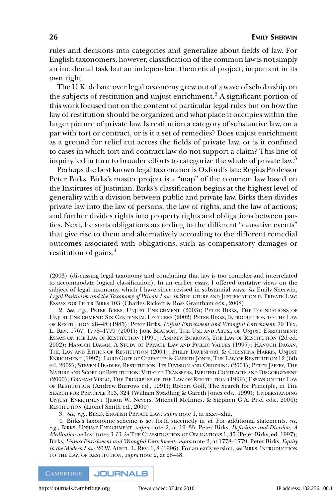rules and decisions into categories and generalize about fields of law. For English taxonomers, however, classification of the common law is not simply an incidental task but an independent theoretical project, important in its own right.

The U.K. debate over legal taxonomy grew out of a wave of scholarship on the subjects of restitution and unjust enrichment.<sup>2</sup> A significant portion of this work focused not on the content of particular legal rules but on how the law of restitution should be organized and what place it occupies within the larger picture of private law. Is restitution a category of substantive law, on a par with tort or contract, or is it a set of remedies? Does unjust enrichment as a ground for relief cut across the fields of private law, or is it confined to cases in which tort and contract law do not support a claim? This line of inquiry led in turn to broader efforts to categorize the whole of private law.<sup>3</sup>

Perhaps the best known legal taxonomer is Oxford's late Regius Professor Peter Birks. Birks's master project is a "map" of the common law based on the Institutes of Justinian. Birks's classification begins at the highest level of generality with a division between public and private law. Birks then divides private law into the law of persons, the law of rights, and the law of actions; and further divides rights into property rights and obligations between parties. Next, he sorts obligations according to the different "causative events" that give rise to them and alternatively according to the different remedial outcomes associated with obligations, such as compensatory damages or restitution of gains.4

(2003) (discussing legal taxonomy and concluding that law is too complex and interrelated to accommodate logical classification). In an earlier essay, I offered tentative views on the subject of legal taxonomy, which I have since revised in substantial ways. *See* Emily Sherwin, *Legal Positivism and the Taxonomy of Private Law*, *in* STRUCTURE AND JUSTIFICATION IN PRIVATE LAW: ESSAYS FOR PETER BIRKS 103 (Charles Rickett & Ross Grantham eds., 2008).

2. *See, e.g.*, PETER BIRKS, UNJUST ENRICHMENT (2003); PETER BIRKS, THE FOUNDATIONS OF UNJUST ENRICHMENT: SIX CENTENNIAL LECTURES (2002) PETER BIRKS, INTRODUCTION TO THE LAW OF RESTITUTION 28–48 (1985); Peter Birks, *Unjust Enrichment and Wrongful Enrichment*, 79 TEX. L. REV. 1767, 1778–1779 (2001); JACK BEATSON, THE USE AND ABUSE OF UNJUST ENRICHMENT: ESSAYS ON THE LAW OF RESTITUTION (1991); ANDREW BURROWS, THE LAW OF RESTITUTION (2d ed. 2002); HANOCH DAGAN,ASTUDY OF PRIVATE LAW AND PUBLIC VALUES (1997); HANOCH DAGAN, THE LAW AND ETHICS OF RESTITUTION (2004); PHILIP DAVENPORT & CHRISTINA HARRIS, UNJUST ENRICHMENT (1997); LORD GOFF OF CHIEVELEY & GARETH JONES, THE LAW OF RESTITUTION 12 (6th ed. 2002); STEVEN HEADLEY, RESTITUTION: ITS DIVISION AND ORDERING (2001); PETER JAFFEY, THE NATURE AND SCOPE OF RESTITUTION: VITIATED TRANSFERS, IMPUTED CONTRACTS AND DISGORGEMENT (2000); GRAHAM VIRGO, THE PRINCIPLES OF THE LAW OF RESTITUTION (1999); ESSAYS ON THE LAW OF RESTITUTION (Andrew Burrows ed., 1991); Robert Goff, The Search for Principle, in THE SEARCH FOR PRINCIPLE 313, 324 (William Swadling & Gareth Jones eds., 1999); UNDERSTANDING UNJUST ENRICHMENT (Jason W. Neyers, Mitchell McInnes, & Stephen G.A. Pitel eds., 2004); RESTITUTION (Lionel Smith ed., 2000).

3. *See, e.g.*, BIRKS, ENGLISH PRIVATE LAW, *supra* note 1, at xxxv–xliii.

4. Birks's taxonomic scheme is set forth succinctly in *id.* For additional statements, *see, e.g.*, BIRKS, UNJUST ENRICHMENT, *supra* note 2, at 19–35; Peter Birks, *Definition and Division, A Meditation on* Institutes *3.13*, *in* THE CLASSIFICATION OF OBLIGATIONS 1, 35 (Peter Birks, ed. 1997); Birks, *Unjust Enrichment and Wrongful Enrichment*, *supra* note 2, at 1778–1779; Peter Birks, *Equity in the Modern Law*, 26 W. AUSTL. L. REV. 1, 8 (1996). For an early version, *see* BIRKS, INTRODUCTION TO THE LAW OF RESTITUTION, *supra* note 2, at 28–48.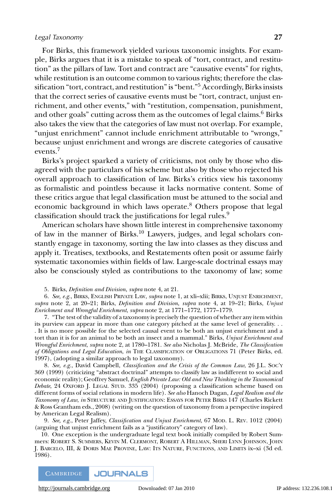For Birks, this framework yielded various taxonomic insights. For example, Birks argues that it is a mistake to speak of "tort, contract, and restitution" as the pillars of law. Tort and contract are "causative events" for rights, while restitution is an outcome common to various rights; therefore the classification "tort, contract, and restitution" is "bent."<sup>5</sup> Accordingly, Birks insists that the correct series of causative events must be "tort, contract, unjust enrichment, and other events," with "restitution, compensation, punishment, and other goals" cutting across them as the outcomes of legal claims. $6$  Birks also takes the view that the categories of law must not overlap. For example, "unjust enrichment" cannot include enrichment attributable to "wrongs," because unjust enrichment and wrongs are discrete categories of causative events.7

Birks's project sparked a variety of criticisms, not only by those who disagreed with the particulars of his scheme but also by those who rejected his overall approach to classification of law. Birks's critics view his taxonomy as formalistic and pointless because it lacks normative content. Some of these critics argue that legal classification must be attuned to the social and economic background in which laws operate.<sup>8</sup> Others propose that legal classification should track the justifications for legal rules.9

American scholars have shown little interest in comprehensive taxonomy of law in the manner of Birks.<sup>10</sup> Lawyers, judges, and legal scholars constantly engage in taxonomy, sorting the law into classes as they discuss and apply it. Treatises, textbooks, and Restatements often posit or assume fairly systematic taxonomies within fields of law. Large-scale doctrinal essays may also be consciously styled as contributions to the taxonomy of law; some

5. Birks, *Definition and Division*, *supra* note 4, at 21.

6. *See, e.g.*, BIRKS, ENGLISH PRIVATE LAW, *supra* note 1, at xli–xlii; BIRKS, UNJUST ENRICHMENT, *supra* note 2, at 20–21; Birks, *Definition and Division*, *supra* note 4, at 19–21; Birks, *Unjust Enrichment and Wrongful Enrichment*, *supra* note 2, at 1771–1772, 1777–1779.

7. "The test of the validity of a taxonomy is precisely the question of whether any item within its purview can appear in more than one category pitched at the same level of generality. . . . It is no more possible for the selected causal event to be both an unjust enrichment and a tort than it is for an animal to be both an insect and a mammal." Birks, *Unjust Enrichment and Wrongful Enrichment*, *supra* note 2, at 1780–1781. *See also* Nicholas J. McBride, *The Classification of Obligations and Legal Education*, *in* THE CLASSIFICATION OF OBLIGATIONS 71 (Peter Birks, ed. 1997), (adopting a similar approach to legal taxonomy).

8. *See, e.g.*, David Campbell, *Classification and the Crisis of the Common Law*, 26 J.L. SOC'Y 369 (1999) (criticizing "abstract doctrinal" attempts to classify law as indifferent to social and economic reality); Geoffrey Samuel, *English Private Law: Old and New Thinking in the Taxonomical Debate*, 24 OXFORD J. LEGAL STUD. 335 (2004) (proposing a classification scheme based on different forms of social relations in modern life). *See also* Hanoch Dagan, *Legal Realism and the Taxonomy of Law*, *in* STRUCTURE AND JUSTIFICATION: ESSAYS FOR PETER BIRKS 147 (Charles Rickett & Ross Grantham eds., 2008) (writing on the question of taxonomy from a perspective inspired by American Legal Realism).

9. *See, e.g.*, Peter Jaffey, *Classification and Unjust Enrichment*, 67 MOD. L. REV. 1012 (2004) (arguing that unjust enrichment fails as a "justificatory" category of law).

10. One exception is the undergraduate legal text book initially compiled by Robert Summers: ROBERT S. SUMMERS, KEVIN M. CLERMONT, ROBERT A HILLMAN, SHERI LYNN JOHNSON, JOHN J. BARCELO, III, & DORIS MAE PROVINE, LAW: ITS NATURE, FUNCTIONS, AND LIMITS ix–xi (3d ed. 1986).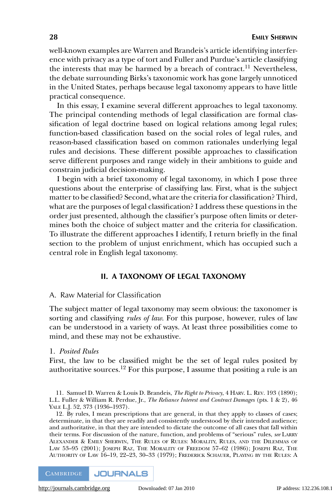well-known examples are Warren and Brandeis's article identifying interference with privacy as a type of tort and Fuller and Purdue's article classifying the interests that may be harmed by a breach of contract.<sup>11</sup> Nevertheless, the debate surrounding Birks's taxonomic work has gone largely unnoticed in the United States, perhaps because legal taxonomy appears to have little practical consequence.

In this essay, I examine several different approaches to legal taxonomy. The principal contending methods of legal classification are formal classification of legal doctrine based on logical relations among legal rules; function-based classification based on the social roles of legal rules, and reason-based classification based on common rationales underlying legal rules and decisions. These different possible approaches to classification serve different purposes and range widely in their ambitions to guide and constrain judicial decision-making.

I begin with a brief taxonomy of legal taxonomy, in which I pose three questions about the enterprise of classifying law. First, what is the subject matter to be classified? Second, what are the criteria for classification? Third, what are the purposes of legal classification? I address these questions in the order just presented, although the classifier's purpose often limits or determines both the choice of subject matter and the criteria for classification. To illustrate the different approaches I identify, I return briefly in the final section to the problem of unjust enrichment, which has occupied such a central role in English legal taxonomy.

# **II. A TAXONOMY OF LEGAL TAXONOMY**

#### A. Raw Material for Classification

The subject matter of legal taxonomy may seem obvious: the taxonomer is sorting and classifying *rules of law*. For this purpose, however, rules of law can be understood in a variety of ways. At least three possibilities come to mind, and these may not be exhaustive.

#### 1. *Posited Rules*

First, the law to be classified might be the set of legal rules posited by authoritative sources.12 For this purpose, I assume that positing a rule is an

11. Samuel D. Warren & Louis D. Brandeis, *The Right to Privacy*,4HARV. L. REV. 193 (1890); L.L. Fuller & William R. Perdue, Jr., *The Reliance Interest and Contract Damages* (pts. 1 & 2), 46 YALE L.J. 52, 373 (1936-1937).

12. By rules, I mean prescriptions that are general, in that they apply to classes of cases; determinate, in that they are readily and consistently understood by their intended audience; and authoritative, in that they are intended to dictate the outcome of all cases that fall within their terms. For discussion of the nature, function, and problems of "serious" rules, *see* LARRY ALEXANDER & EMILY SHERWIN, THE RULES OF RULES: MORALITY, RULES, AND THE DILEMMAS OF LAW 53–95 (2001); JOSEPH RAZ, THE MORALITY OF FREEDOM 57–62 (1986); JOSEPH RAZ, THE AUTHORITY OF LAW 16–19, 22–23, 30–33 (1979); FREDERICK SCHAUER, PLAYING BY THE RULES: A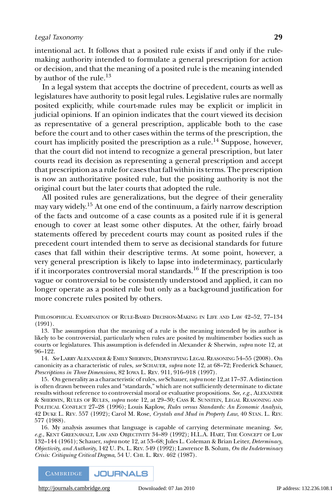intentional act. It follows that a posited rule exists if and only if the rulemaking authority intended to formulate a general prescription for action or decision, and that the meaning of a posited rule is the meaning intended by author of the rule. $^{13}$ 

In a legal system that accepts the doctrine of precedent, courts as well as legislatures have authority to posit legal rules. Legislative rules are normally posited explicitly, while court-made rules may be explicit or implicit in judicial opinions. If an opinion indicates that the court viewed its decision as representative of a general prescription, applicable both to the case before the court and to other cases within the terms of the prescription, the court has implicitly posited the prescription as a rule.<sup>14</sup> Suppose, however, that the court did not intend to recognize a general prescription, but later courts read its decision as representing a general prescription and accept that prescription as a rule for cases that fall within its terms. The prescription is now an authoritative posited rule, but the positing authority is not the original court but the later courts that adopted the rule.

All posited rules are generalizations, but the degree of their generality may vary widely.<sup>15</sup> At one end of the continuum, a fairly narrow description of the facts and outcome of a case counts as a posited rule if it is general enough to cover at least some other disputes. At the other, fairly broad statements offered by precedent courts may count as posited rules if the precedent court intended them to serve as decisional standards for future cases that fall within their descriptive terms. At some point, however, a very general prescription is likely to lapse into indeterminacy, particularly if it incorporates controversial moral standards.16 If the prescription is too vague or controversial to be consistently understood and applied, it can no longer operate as a posited rule but only as a background justification for more concrete rules posited by others.

PHILOSOPHICAL EXAMINATION OF RULE-BASED DECISION-MAKING IN LIFE AND LAW 42–52, 77–134 (1991).

13. The assumption that the meaning of a rule is the meaning intended by its author is likely to be controversial, particularly when rules are posited by multimember bodies such as courts or legislatures. This assumption is defended in Alexander & Sherwin, *supra* note 12, at 96–122.

14. *See* LARRY ALEXANDER & EMILY SHERWIN, DEMYSTIFYING LEGAL REASONING 54–55 (2008). On canonicity as a characteristic of rules, *see* SCHAUER, *supra* note 12, at 68–72; Frederick Schauer, *Prescriptions in Three Dimensions*, 82 IOWA L. REV. 911, 916–918 (1997).

15. On generality as a characteristic of rules,*see* Schauer,*supra* note 12,at 17–37. A distinction is often drawn between rules and "standards," which are not sufficiently determinate to dictate results without reference to controversial moral or evaluative propositions. *See, e.g.*, ALEXANDER & SHERWIN, RULES OF RULES, *supra* note 12, at 29–30; CASS R. SUNSTEIN, LEGAL REASONING AND POLITICAL CONFLICT 27–28 (1996); Louis Kaplow, *Rules versus Standards: An Economic Analysis*, 42 DUKE L. REV. 557 (1992); Carol M. Rose, *Crystals and Mud in Property Law*, 40 STAN. L. REV. 577 (1988).

16. My analysis assumes that language is capable of carrying determinate meaning. *See, e.g.*, KENT GREENAWALT, LAW AND OBJECTIVITY 34–89 (1992); H.L.A. HART, THE CONCEPT OF LAW 132–144 (1961); Schauer, *supra* note 12, at 53–68; Jules L. Coleman & Brian Leiter, *Determinacy, Objectivity, and Authority*, 142 U. PA. L. REV. 549 (1992); Lawrence B. Solum, *On the Indeterminacy Crisis: Critiquing Critical Dogma*, 54 U. CHI. L. REV. 462 (1987).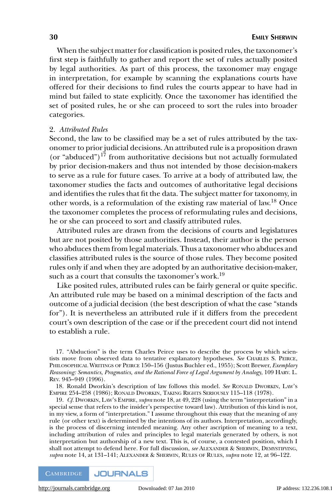When the subject matter for classification is posited rules, the taxonomer's first step is faithfully to gather and report the set of rules actually posited by legal authorities. As part of this process, the taxonomer may engage in interpretation, for example by scanning the explanations courts have offered for their decisions to find rules the courts appear to have had in mind but failed to state explicitly. Once the taxonomer has identified the set of posited rules, he or she can proceed to sort the rules into broader categories.

#### 2. *Attributed Rules*

Second, the law to be classified may be a set of rules attributed by the taxonomer to prior judicial decisions. An attributed rule is a proposition drawn (or "abduced")<sup>17</sup> from authoritative decisions but not actually formulated by prior decision-makers and thus not intended by those decision-makers to serve as a rule for future cases. To arrive at a body of attributed law, the taxonomer studies the facts and outcomes of authoritative legal decisions and identifies the rules that fit the data. The subject matter for taxonomy, in other words, is a reformulation of the existing raw material of law.<sup>18</sup> Once the taxonomer completes the process of reformulating rules and decisions, he or she can proceed to sort and classify attributed rules.

Attributed rules are drawn from the decisions of courts and legislatures but are not posited by those authorities. Instead, their author is the person who abduces them from legal materials. Thus a taxonomer who abduces and classifies attributed rules is the source of those rules. They become posited rules only if and when they are adopted by an authoritative decision-maker, such as a court that consults the taxonomer's work.19

Like posited rules, attributed rules can be fairly general or quite specific. An attributed rule may be based on a minimal description of the facts and outcome of a judicial decision (the best description of what the case "stands for"). It is nevertheless an attributed rule if it differs from the precedent court's own description of the case or if the precedent court did not intend to establish a rule.

17. "Abduction" is the term Charles Peirce uses to describe the process by which scientists move from observed data to tentative explanatory hypotheses. *See* CHARLES S. PEIRCE, PHILOSOPHICAL WRITINGS OF PEIRCE 150–156 (Justus Buchler ed., 1955); Scott Brewer, *Exemplary Reasoning: Semantics, Pragmatics, and the Rational Force of Legal Argument by Analogy*, 109 HARV. L. REV. 945–949 (1996).

18. Ronald Dworkin's description of law follows this model. *See* RONALD DWORKIN, LAW'S EMPIRE 254–258 (1986); RONALD DWORKIN, TAKING RIGHTS SERIOUSLY 115–118 (1978).

19. *Cf.* DWORKIN, LAW'S EMPIRE, *supra* note 18, at 49, 228 (using the term "interpretation" in a special sense that refers to the insider's perspective toward law). Attribution of this kind is not, in my view, a form of "interpretation." I assume throughout this essay that the meaning of any rule (or other text) is determined by the intentions of its authors. Interpretation, accordingly, is the process of discerning intended meaning. Any other ascription of meaning to a text, including attribution of rules and principles to legal materials generated by others, is not interpretation but authorship of a new text. This is, of course, a contested position, which I shall not attempt to defend here. For full discussion, *see* ALEXANDER & SHERWIN, DEMYSTIFYING, *supra* note 14, at 131–141; ALEXANDER & SHERWIN, RULES OF RULES, *supra* note 12, at 96–122.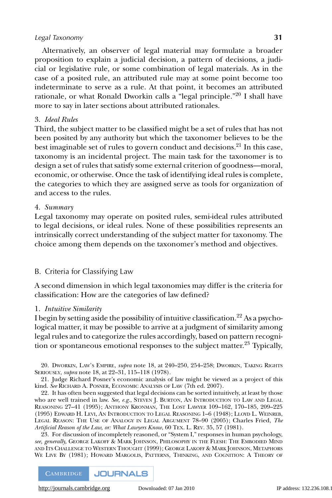Alternatively, an observer of legal material may formulate a broader proposition to explain a judicial decision, a pattern of decisions, a judicial or legislative rule, or some combination of legal materials. As in the case of a posited rule, an attributed rule may at some point become too indeterminate to serve as a rule. At that point, it becomes an attributed rationale, or what Ronald Dworkin calls a "legal principle."<sup>20</sup> I shall have more to say in later sections about attributed rationales.

#### 3. *Ideal Rules*

Third, the subject matter to be classified might be a set of rules that has not been posited by any authority but which the taxonomer believes to be the best imaginable set of rules to govern conduct and decisions.<sup>21</sup> In this case, taxonomy is an incidental project. The main task for the taxonomer is to design a set of rules that satisfy some external criterion of goodness—moral, economic, or otherwise. Once the task of identifying ideal rules is complete, the categories to which they are assigned serve as tools for organization of and access to the rules.

#### 4. *Summary*

Legal taxonomy may operate on posited rules, semi-ideal rules attributed to legal decisions, or ideal rules. None of these possibilities represents an intrinsically correct understanding of the subject matter for taxonomy. The choice among them depends on the taxonomer's method and objectives.

# B. Criteria for Classifying Law

A second dimension in which legal taxonomies may differ is the criteria for classification: How are the categories of law defined?

#### 1. *Intuitive Similarity*

I begin by setting aside the possibility of intuitive classification.<sup>22</sup> As a psychological matter, it may be possible to arrive at a judgment of similarity among legal rules and to categorize the rules accordingly, based on pattern recognition or spontaneous emotional responses to the subject matter.<sup>23</sup> Typically,

20. DWORKIN, LAW'S EMPIRE, *supra* note 18, at 240–250, 254–258; DWORKIN, TAKING RIGHTS SERIOUSLY, *supra* note 18, at 22–31, 115–118 (1978).

21. Judge Richard Posner's economic analysis of law might be viewed as a project of this kind. *See* RICHARD A. POSNER, ECONOMIC ANALYSIS OF LAW (7th ed. 2007).

22. It has often been suggested that legal decisions can be sorted intuitively, at least by those who are well trained in law. *See, e.g.*, STEVEN J. BURTON, AN INTRODUCTION TO LAW AND LEGAL REASONING 27–41 (1995); ANTHONY KRONMAN, THE LOST LAWYER 109–162, 170–185, 209–225 (1995) EDWARD H. LEVI, AN INTRODUCTION TO LEGAL REASONING 1–6 (1948); LLOYD L. WEINREB, LEGAL REASON: THE USE OF ANALOGY IN LEGAL ARGUMENT 78–90 (2005); Charles Fried, *The Artificial Reason of the Law, or: What Lawyers Know*, 60 TEX. L. REV. 35, 57 (1981).

23. For discussion of incompletely reasoned, or "System I," responses in human psychology, *see, generally,* GEORGE LAKOFF & MARK JOHNSON, PHILOSOPHY IN THE FLESH: THE EMBODIED MIND AND ITS CHALLENGE TO WESTERN THOUGHT (1999); GEORGE LAKOFF & MARK JOHNSON, METAPHORS WE LIVE BY (1981); HOWARD MARGOLIS, PATTERNS, THINKING, AND COGNITION: A THEORY OF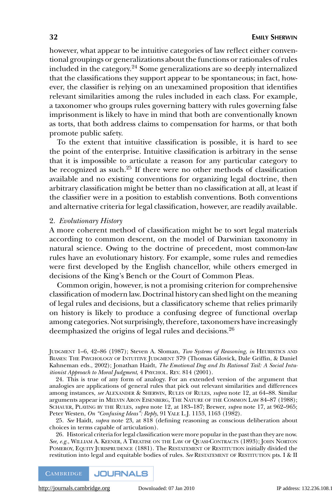however, what appear to be intuitive categories of law reflect either conventional groupings or generalizations about the functions or rationales of rules included in the category.<sup>24</sup> Some generalizations are so deeply internalized that the classifications they support appear to be spontaneous; in fact, however, the classifier is relying on an unexamined proposition that identifies relevant similarities among the rules included in each class. For example, a taxonomer who groups rules governing battery with rules governing false imprisonment is likely to have in mind that both are conventionally known as torts, that both address claims to compensation for harms, or that both promote public safety.

To the extent that intuitive classification is possible, it is hard to see the point of the enterprise. Intuitive classification is arbitrary in the sense that it is impossible to articulate a reason for any particular category to be recognized as such. $25$  If there were no other methods of classification available and no existing conventions for organizing legal doctrine, then arbitrary classification might be better than no classification at all, at least if the classifier were in a position to establish conventions. Both conventions and alternative criteria for legal classification, however, are readily available.

#### 2. *Evolutionary History*

A more coherent method of classification might be to sort legal materials according to common descent, on the model of Darwinian taxonomy in natural science. Owing to the doctrine of precedent, most common-law rules have an evolutionary history. For example, some rules and remedies were first developed by the English chancellor, while others emerged in decisions of the King's Bench or the Court of Common Pleas.

Common origin, however, is not a promising criterion for comprehensive classification of modern law. Doctrinal history can shed light on the meaning of legal rules and decisions, but a classificatory scheme that relies primarily on history is likely to produce a confusing degree of functional overlap among categories. Not surprisingly, therefore, taxonomers have increasingly deemphasized the origins of legal rules and decisions.<sup>26</sup>

JUDGMENT 1–6, 42–86 (1987); Steven A. Sloman, *Two Systems of Reasoning*, *in* HEURISTICS AND BIASES: THE PSYCHOLOGY OF INTUITIVE JUDGMENT 379 (Thomas Gilovick, Dale Griffin, & Daniel Kahneman eds., 2002); Jonathan Haidt, *The Emotional Dog and Its Rational Tail: A Social Intuitionist Approach to Moral Judgment*,4PSYCHOL. REV. 814 (2001).

24. This is true of any form of analogy. For an extended version of the argument that analogies are applications of general rules that pick out relevant similarities and differences among instances, *see* ALEXANDER & SHERWIN, RULES OF RULES, *supra* note 12, at 64–88. Similar arguments appear in MELVIN ARON EISENBERG, THE NATURE OF THE COMMON LAW 84–87 (1988); SCHAUER, PLAYING BY THE RULES, *supra* note 12, at 183–187; Brewer, *supra* note 17, at 962–965; Peter Westen, *On "Confusing Ideas": Reply*, 91 YALE L.J. 1153, 1163 (1982).

25. *See* Haidt, *supra* note 23, at 818 (defining reasoning as conscious deliberation about choices in terms capable of articulation).

26. Historical criteria for legal classification were more popular in the past than they are now. *See, e.g.*, WILLIAM A. KEENER,ATREATISE ON THE LAW OF QUASI-CONTRACTS (1893); JOHN NORTON POMEROY, EQUITY JURISPRUDENCE (1881). The RESTATEMENT OF RESTITUTION initially divided the restitution into legal and equitable bodies of rules. *See* RESTATEMENT OF RESTITUTION pts. I & II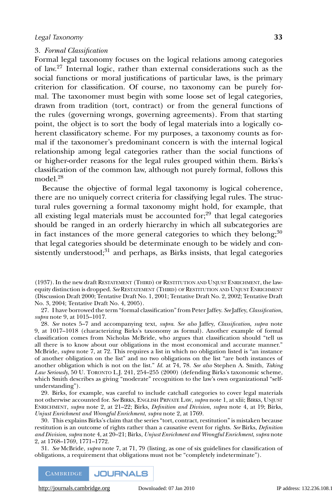#### 3. *Formal Classification*

Formal legal taxonomy focuses on the logical relations among categories of law.27 Internal logic, rather than external considerations such as the social functions or moral justifications of particular laws, is the primary criterion for classification. Of course, no taxonomy can be purely formal. The taxonomer must begin with some loose set of legal categories, drawn from tradition (tort, contract) or from the general functions of the rules (governing wrongs, governing agreements). From that starting point, the object is to sort the body of legal materials into a logically coherent classificatory scheme. For my purposes, a taxonomy counts as formal if the taxonomer's predominant concern is with the internal logical relationship among legal categories rather than the social functions of or higher-order reasons for the legal rules grouped within them. Birks's classification of the common law, although not purely formal, follows this model.<sup>28</sup>

Because the objective of formal legal taxonomy is logical coherence, there are no uniquely correct criteria for classifying legal rules. The structural rules governing a formal taxonomy might hold, for example, that all existing legal materials must be accounted for; $^{29}$  that legal categories should be ranged in an orderly hierarchy in which all subcategories are in fact instances of the more general categories to which they belong;  $30$ that legal categories should be determinate enough to be widely and consistently understood; $31$  and perhaps, as Birks insists, that legal categories

(1937). In the new draft RESTATEMENT (THIRD) OF RESTITUTION AND UNJUST ENRICHMENT, the lawequity distinction is dropped. *See* RESTATEMENT (THIRD) OF RESTITUTION AND UNJUST ENRICHMENT (Discussion Draft 2000; Tentative Draft No. 1, 2001; Tentative Draft No. 2, 2002; Tentative Draft No. 3, 2004; Tentative Draft No. 4, 2005).

27. I have borrowed the term "formal classification" from Peter Jaffey. *See* Jaffey, *Classification*, *supra* note 9, at 1015–1017.

28. *See* notes 5–7 and accompanying text, *supra*. *See also* Jaffey, *Classification*, *supra* note 9, at 1017–1018 (characterizing Birks's taxonomy as formal). Another example of formal classification comes from Nicholas McBride, who argues that classification should "tell us all there is to know about our obligations in the most economical and accurate manner." McBride, *supra* note 7, at 72. This requires a list in which no obligation listed is "an instance of another obligation on the list" and no two obligations on the list "are both instances of another obligation which is not on the list." *Id.* at 74, 78. *See also* Stephen A. Smith, *Taking Law Seriously*, 50 U. TORONTO L.J. 241, 254–255 (2000) (defending Birks's taxonomic scheme, which Smith describes as giving "moderate" recognition to the law's own organizational "selfunderstanding").

29. Birks, for example, was careful to include catchall categories to cover legal materials not otherwise accounted for. *See* BIRKS, ENGLISH PRIVATE LAW, *supra* note 1, at xlii; BIRKS, UNJUST ENRICHMENT, *supra* note 2, at 21–22; Birks, *Definition and Division*, *supra* note 4, at 19; Birks, *Unjust Enrichment and Wrongful Enrichment*, *supra* note 2, at 1769.

30. This explains Birks's claim that the series "tort, contract, restitution" is mistaken because restitution is an outcome of rights rather than a causative event for rights. *See* Birks, *Definition and Division*, *supra* note 4, at 20–21; Birks, *Unjust Enrichment and Wrongful Enrichment*, *supra* note 2, at 1768–1769, 1771–1772.

31. *See* McBride, *supra* note 7, at 71, 79 (listing, as one of six guidelines for classification of obligations, a requirement that obligations must not be "completely indeterminate").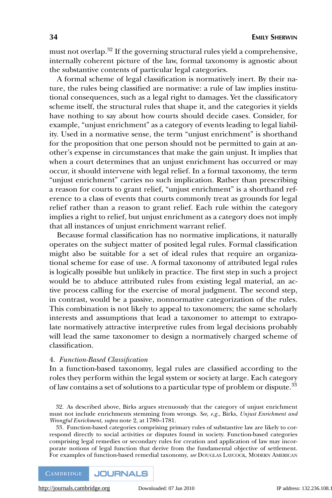must not overlap.<sup>32</sup> If the governing structural rules yield a comprehensive, internally coherent picture of the law, formal taxonomy is agnostic about the substantive contents of particular legal categories.

A formal scheme of legal classification is normatively inert. By their nature, the rules being classified are normative: a rule of law implies institutional consequences, such as a legal right to damages. Yet the classificatory scheme itself, the structural rules that shape it, and the categories it yields have nothing to say about how courts should decide cases. Consider, for example, "unjust enrichment" as a category of events leading to legal liability. Used in a normative sense, the term "unjust enrichment" is shorthand for the proposition that one person should not be permitted to gain at another's expense in circumstances that make the gain unjust. It implies that when a court determines that an unjust enrichment has occurred or may occur, it should intervene with legal relief. In a formal taxonomy, the term "unjust enrichment" carries no such implication. Rather than prescribing a reason for courts to grant relief, "unjust enrichment" is a shorthand reference to a class of events that courts commonly treat as grounds for legal relief rather than a reason to grant relief. Each rule within the category implies a right to relief, but unjust enrichment as a category does not imply that all instances of unjust enrichment warrant relief.

Because formal classification has no normative implications, it naturally operates on the subject matter of posited legal rules. Formal classification might also be suitable for a set of ideal rules that require an organizational scheme for ease of use. A formal taxonomy of attributed legal rules is logically possible but unlikely in practice. The first step in such a project would be to abduce attributed rules from existing legal material, an active process calling for the exercise of moral judgment. The second step, in contrast, would be a passive, nonnormative categorization of the rules. This combination is not likely to appeal to taxonomers; the same scholarly interests and assumptions that lead a taxonomer to attempt to extrapolate normatively attractive interpretive rules from legal decisions probably will lead the same taxonomer to design a normatively charged scheme of classification.

#### 4. *Function-Based Classification*

In a function-based taxonomy, legal rules are classified according to the roles they perform within the legal system or society at large. Each category of law contains a set of solutions to a particular type of problem or dispute.<sup>33</sup>

33. Function-based categories comprising primary rules of substantive law are likely to correspond directly to social activities or disputes found in society. Function-based categories comprising legal remedies or secondary rules for creation and application of law may incorporate notions of legal function that derive from the fundamental objective of settlement. For examples of function-based remedial taxonomy, *see* DOUGLAS LAYCOCK, MODERN AMERICAN

<sup>32.</sup> As described above, Birks argues strenuously that the category of unjust enrichment must not include enrichments stemming from wrongs. *See, e.g.*, Birks, *Unjust Enrichment and Wrongful Enrichment*, *supra* note 2, at 1780–1781.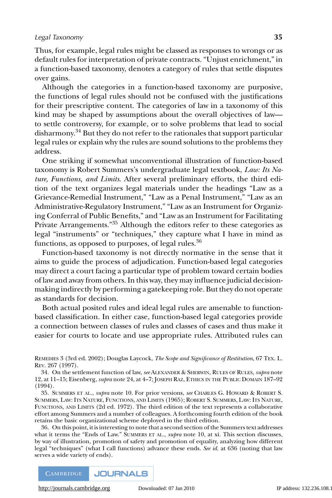Thus, for example, legal rules might be classed as responses to wrongs or as default rules for interpretation of private contracts. "Unjust enrichment," in a function-based taxonomy, denotes a category of rules that settle disputes over gains.

Although the categories in a function-based taxonomy are purposive, the functions of legal rules should not be confused with the justifications for their prescriptive content. The categories of law in a taxonomy of this kind may be shaped by assumptions about the overall objectives of law to settle controversy, for example, or to solve problems that lead to social disharmony.<sup>34</sup> But they do not refer to the rationales that support particular legal rules or explain why the rules are sound solutions to the problems they address.

One striking if somewhat unconventional illustration of function-based taxonomy is Robert Summers's undergraduate legal textbook, *Law: Its Nature, Functions, and Limits*. After several preliminary efforts, the third edition of the text organizes legal materials under the headings "Law as a Grievance-Remedial Instrument," "Law as a Penal Instrument," "Law as an Administrative-Regulatory Instrument," "Law as an Instrument for Organizing Conferral of Public Benefits," and "Law as an Instrument for Facilitating Private Arrangements."35 Although the editors refer to these categories as legal "instruments" or "techniques," they capture what I have in mind as functions, as opposed to purposes, of legal rules.  $36$ 

Function-based taxonomy is not directly normative in the sense that it aims to guide the process of adjudication. Function-based legal categories may direct a court facing a particular type of problem toward certain bodies of law and away from others. In this way, they may influence judicial decisionmaking indirectly by performing a gatekeeping role. But they do not operate as standards for decision.

Both actual posited rules and ideal legal rules are amenable to functionbased classification. In either case, function-based legal categories provide a connection between classes of rules and classes of cases and thus make it easier for courts to locate and use appropriate rules. Attributed rules can

REMEDIES 3 (3rd ed. 2002); Douglas Laycock, *The Scope and Significance of Restitution*, 67 TEX. L. REV. 267 (1997).

34. On the settlement function of law, *see* ALEXANDER & SHERWIN, RULES OF RULES, *supra* note 12, at 11–15; Eisenberg, *supra* note 24, at 4–7; JOSEPH RAZ, ETHICS IN THE PUBLIC DOMAIN 187–92 (1994).

35. SUMMERS ET AL., *supra* note 10. For prior versions, *see* CHARLES G. HOWARD & ROBERT S. SUMMERS, LAW: ITS NATURE, FUNCTIONS, AND LIMITS (1965); ROBERT S. SUMMERS, LAW: ITS NATURE, FUNCTIONS, AND LIMITS (2d ed. 1972). The third edition of the text represents a collaborative effort among Summers and a number of colleagues. A forthcoming fourth edition of the book retains the basic organizational scheme deployed in the third edition.

36. On this point, it is interesting to note that a second section of the Summers text addresses what it terms the "Ends of Law." SUMMERS ET AL., *supra* note 10, at xi. This section discusses, by way of illustration, promotion of safety and promotion of equality, analyzing how different legal "techniques" (what I call functions) advance these ends. *See id.* at 636 (noting that law serves a wide variety of ends).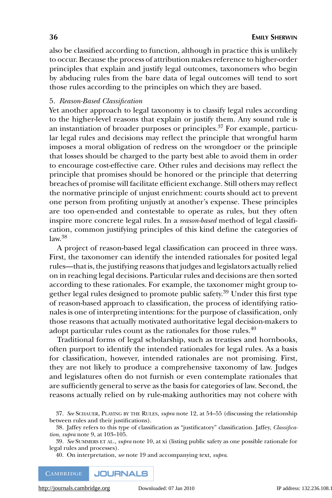also be classified according to function, although in practice this is unlikely to occur. Because the process of attribution makes reference to higher-order principles that explain and justify legal outcomes, taxonomers who begin by abducing rules from the bare data of legal outcomes will tend to sort those rules according to the principles on which they are based.

#### 5. *Reason-Based Classification*

Yet another approach to legal taxonomy is to classify legal rules according to the higher-level reasons that explain or justify them. Any sound rule is an instantiation of broader purposes or principles. $37$  For example, particular legal rules and decisions may reflect the principle that wrongful harm imposes a moral obligation of redress on the wrongdoer or the principle that losses should be charged to the party best able to avoid them in order to encourage cost-effective care. Other rules and decisions may reflect the principle that promises should be honored or the principle that deterring breaches of promise will facilitate efficient exchange. Still others may reflect the normative principle of unjust enrichment: courts should act to prevent one person from profiting unjustly at another's expense. These principles are too open-ended and contestable to operate as rules, but they often inspire more concrete legal rules. In a *reason-based* method of legal classification, common justifying principles of this kind define the categories of  $law<sup>38</sup>$ 

A project of reason-based legal classification can proceed in three ways. First, the taxonomer can identify the intended rationales for posited legal rules—that is, the justifying reasons that judges and legislators actually relied on in reaching legal decisions. Particular rules and decisions are then sorted according to these rationales. For example, the taxonomer might group together legal rules designed to promote public safety.<sup>39</sup> Under this first type of reason-based approach to classification, the process of identifying rationales is one of interpreting intentions: for the purpose of classification, only those reasons that actually motivated authoritative legal decision-makers to adopt particular rules count as the rationales for those rules.<sup>40</sup>

Traditional forms of legal scholarship, such as treatises and hornbooks, often purport to identify the intended rationales for legal rules. As a basis for classification, however, intended rationales are not promising. First, they are not likely to produce a comprehensive taxonomy of law. Judges and legislatures often do not furnish or even contemplate rationales that are sufficiently general to serve as the basis for categories of law. Second, the reasons actually relied on by rule-making authorities may not cohere with

40. On interpretation, *see* note 19 and accompanying text, *supra*.

<sup>37.</sup> *See* SCHAUER, PLAYING BY THE RULES, *supra* note 12, at 54–55 (discussing the relationship between rules and their justifications).

<sup>38.</sup> Jaffey refers to this type of classification as "justificatory" classification. Jaffey, *Classification*, *supra* note 9, at 103–105.

<sup>39.</sup> *See* SUMMERS ET AL., *supra* note 10, at xi (listing public safety as one possible rationale for legal rules and processes).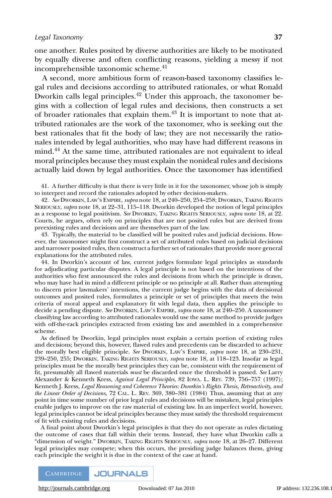one another. Rules posited by diverse authorities are likely to be motivated by equally diverse and often conflicting reasons, yielding a messy if not incomprehensible taxonomic scheme.<sup>41</sup>

A second, more ambitious form of reason-based taxonomy classifies legal rules and decisions according to attributed rationales, or what Ronald Dworkin calls legal principles.<sup>42</sup> Under this approach, the taxonomer begins with a collection of legal rules and decisions, then constructs a set of broader rationales that explain them.<sup>43</sup> It is important to note that attributed rationales are the work of the taxonomer, who is seeking out the best rationales that fit the body of law; they are not necessarily the rationales intended by legal authorities, who may have had different reasons in mind.<sup>44</sup> At the same time, attributed rationales are not equivalent to ideal moral principles because they must explain the nonideal rules and decisions actually laid down by legal authorities. Once the taxonomer has identified

41. A further difficulty is that there is very little in it for the taxonomer, whose job is simply to interpret and record the rationales adopted by other decision-makers.

42. *See* DWORKIN, LAW'S EMPIRE, *supra* note 18, at 240–250, 254–258; DWORKIN, TAKING RIGHTS SERIOUSLY, *supra* note 18, at 22–31, 115–118. Dworkin developed the notion of legal principles as a response to legal positivism. *See* DWORKIN, TAKING RIGHTS SERIOUSLY, *supra* note 18, at 22. Courts, he argues, often rely on principles that are not posited rules but are derived from preexisting rules and decisions and are themselves part of the law.

43. Typically, the material to be classified will be posited rules and judicial decisions. However, the taxonomer might first construct a set of attributed rules based on judicial decisions and narrower posited rules, then construct a further set of rationales that provide more general explanations for the attributed rules.

44. In Dworkin's account of law, current judges formulate legal principles as standards for adjudicating particular disputes. A legal principle is not based on the intentions of the authorities who first announced the rules and decisions from which the principle is drawn, who may have had in mind a different principle or no principle at all. Rather than attempting to discern prior lawmakers' intentions, the current judge begins with the data of decisional outcomes and posited rules, formulates a principle or set of principles that meets the twin criteria of moral appeal and explanatory fit with legal data, then applies the principle to decide a pending dispute. *See* DWORKIN, LAW'S EMPIRE, *supra* note 18, at 240–250. A taxonomer classifying law according to attributed rationales would use the same method to provide judges with off-the-rack principles extracted from existing law and assembled in a comprehensive scheme.

As defined by Dworkin, legal principles must explain a certain portion of existing rules and decisions; beyond this, however, flawed rules and precedents can be discarded to achieve the morally best eligible principle. *See* DWORKIN, LAW'S EMPIRE, *supra* note 18, at 230–231, 239–250, 255; DWORKIN, TAKING RIGHTS SERIOUSLY, *supra* note 18, at 118–123. Insofar as legal principles must be the morally best principles they can be, consistent with the requirement of fit, presumably all flawed materials *must* be discarded once the threshold is passed. *See* Larry Alexander & Kenneth Kress, *Against Legal Principles*, 82 IOWA. L. REV. 739, 756–757 (1997); Kenneth J. Kress, *Legal Reasoning and Coherence Theories: Dworkin's Rights Thesis, Retroactivity, and the Linear Order of Decisions*, 72 CAL. L. REV. 369, 380–381 (1984) Thus, assuming that at any point in time some number of prior legal rules and decisions will be mistaken, legal principles enable judges to improve on the raw material of existing law. In an imperfect world, however, legal principles cannot be ideal principles because they must satisfy the threshold requirement of fit with existing rules and decisions.

A final point about Dworkin's legal principles is that they do not operate as rules dictating the outcome of cases that fall within their terms. Instead, they have what Dworkin calls a "dimension of weight." DWORKIN, TAKING RIGHTS SERIOUSLY, *supra* note 18, at 26–27. Different legal principles may compete; when this occurs, the presiding judge balances them, giving each principle the weight it is due in the context of the case at hand.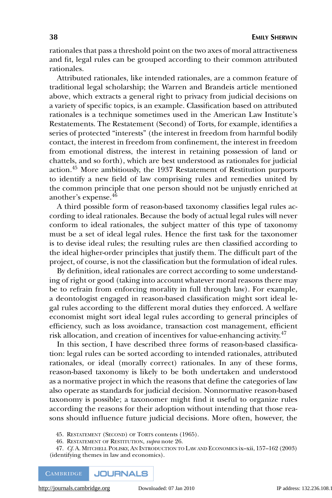rationales that pass a threshold point on the two axes of moral attractiveness and fit, legal rules can be grouped according to their common attributed rationales.

Attributed rationales, like intended rationales, are a common feature of traditional legal scholarship; the Warren and Brandeis article mentioned above, which extracts a general right to privacy from judicial decisions on a variety of specific topics, is an example. Classification based on attributed rationales is a technique sometimes used in the American Law Institute's Restatements. The Restatement (Second) of Torts, for example, identifies a series of protected "interests" (the interest in freedom from harmful bodily contact, the interest in freedom from confinement, the interest in freedom from emotional distress, the interest in retaining possession of land or chattels, and so forth), which are best understood as rationales for judicial action.<sup>45</sup> More ambitiously, the 1937 Restatement of Restitution purports to identify a new field of law comprising rules and remedies united by the common principle that one person should not be unjustly enriched at another's expense.<sup>46</sup>

A third possible form of reason-based taxonomy classifies legal rules according to ideal rationales. Because the body of actual legal rules will never conform to ideal rationales, the subject matter of this type of taxonomy must be a set of ideal legal rules. Hence the first task for the taxonomer is to devise ideal rules; the resulting rules are then classified according to the ideal higher-order principles that justify them. The difficult part of the project, of course, is not the classification but the formulation of ideal rules.

By definition, ideal rationales are correct according to some understanding of right or good (taking into account whatever moral reasons there may be to refrain from enforcing morality in full through law). For example, a deontologist engaged in reason-based classification might sort ideal legal rules according to the different moral duties they enforced. A welfare economist might sort ideal legal rules according to general principles of efficiency, such as loss avoidance, transaction cost management, efficient risk allocation, and creation of incentives for value-enhancing activity.<sup>47</sup>

In this section, I have described three forms of reason-based classification: legal rules can be sorted according to intended rationales, attributed rationales, or ideal (morally correct) rationales. In any of these forms, reason-based taxonomy is likely to be both undertaken and understood as a normative project in which the reasons that define the categories of law also operate as standards for judicial decision. Nonnormative reason-based taxonomy is possible; a taxonomer might find it useful to organize rules according the reasons for their adoption without intending that those reasons should influence future judicial decisions. More often, however, the

45. RESTATEMENT (SECOND) OF TORTS contents (1965).

46. RESTATEMENT OF RESTITUTION, *supra* note 26.

47. *Cf*. A. MITCHELL POLISKY, AN INTRODUCTION TO LAW AND ECONOMICS ix–xii, 157–162 (2003) (identifying themes in law and economics).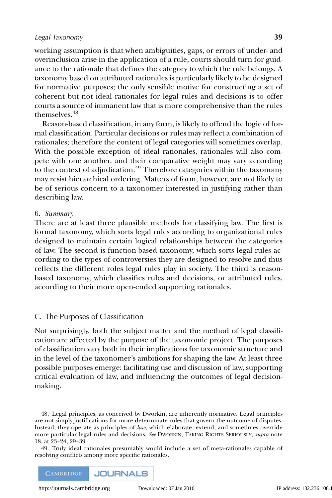working assumption is that when ambiguities, gaps, or errors of under- and overinclusion arise in the application of a rule, courts should turn for guidance to the rationale that defines the category to which the rule belongs. A taxonomy based on attributed rationales is particularly likely to be designed for normative purposes; the only sensible motive for constructing a set of coherent but not ideal rationales for legal rules and decisions is to offer courts a source of immanent law that is more comprehensive than the rules themselves.48

Reason-based classification, in any form, is likely to offend the logic of formal classification. Particular decisions or rules may reflect a combination of rationales; therefore the content of legal categories will sometimes overlap. With the possible exception of ideal rationales, rationales will also compete with one another, and their comparative weight may vary according to the context of adjudication.<sup>49</sup> Therefore categories within the taxonomy may resist hierarchical ordering. Matters of form, however, are not likely to be of serious concern to a taxonomer interested in justifying rather than describing law.

#### 6. *Summary*

There are at least three plausible methods for classifying law. The first is formal taxonomy, which sorts legal rules according to organizational rules designed to maintain certain logical relationships between the categories of law. The second is function-based taxonomy, which sorts legal rules according to the types of controversies they are designed to resolve and thus reflects the different roles legal rules play in society. The third is reasonbased taxonomy, which classifies rules and decisions, or attributed rules, according to their more open-ended supporting rationales.

# C. The Purposes of Classification

Not surprisingly, both the subject matter and the method of legal classification are affected by the purpose of the taxonomic project. The purposes of classification vary both in their implications for taxonomic structure and in the level of the taxonomer's ambitions for shaping the law. At least three possible purposes emerge: facilitating use and discussion of law, supporting critical evaluation of law, and influencing the outcomes of legal decisionmaking.

48. Legal principles, as conceived by Dworkin, are inherently normative. Legal principles are not simply justifications for more determinate rules that govern the outcome of disputes. Instead, they operate as principles of *law*, which elaborate, extend, and sometimes override more particular legal rules and decisions. *See* DWORKIN, TAKING RIGHTS SERIOUSLY, *supra* note 18, at 23–24, 29–39.

49. Truly ideal rationales presumably would include a set of meta-rationales capable of resolving conflicts among more specific rationales.

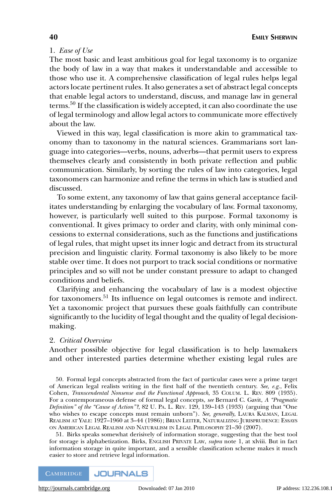# 1. *Ease of Use*

The most basic and least ambitious goal for legal taxonomy is to organize the body of law in a way that makes it understandable and accessible to those who use it. A comprehensive classification of legal rules helps legal actors locate pertinent rules. It also generates a set of abstract legal concepts that enable legal actors to understand, discuss, and manage law in general terms.<sup>50</sup> If the classification is widely accepted, it can also coordinate the use of legal terminology and allow legal actors to communicate more effectively about the law.

Viewed in this way, legal classification is more akin to grammatical taxonomy than to taxonomy in the natural sciences. Grammarians sort language into categories—verbs, nouns, adverbs—that permit users to express themselves clearly and consistently in both private reflection and public communication. Similarly, by sorting the rules of law into categories, legal taxonomers can harmonize and refine the terms in which law is studied and discussed.

To some extent, any taxonomy of law that gains general acceptance facilitates understanding by enlarging the vocabulary of law. Formal taxonomy, however, is particularly well suited to this purpose. Formal taxonomy is conventional. It gives primacy to order and clarity, with only minimal concessions to external considerations, such as the functions and justifications of legal rules, that might upset its inner logic and detract from its structural precision and linguistic clarity. Formal taxonomy is also likely to be more stable over time. It does not purport to track social conditions or normative principles and so will not be under constant pressure to adapt to changed conditions and beliefs.

Clarifying and enhancing the vocabulary of law is a modest objective for taxonomers.<sup>51</sup> Its influence on legal outcomes is remote and indirect. Yet a taxonomic project that pursues these goals faithfully can contribute significantly to the lucidity of legal thought and the quality of legal decisionmaking.

#### 2. *Critical Overview*

Another possible objective for legal classification is to help lawmakers and other interested parties determine whether existing legal rules are

50. Formal legal concepts abstracted from the fact of particular cases were a prime target of American legal realists writing in the first half of the twentieth century. *See, e.g.*, Felix Cohen, *Transcendental Nonsense and the Functional Approach*, 35 COLUM. L. REV. 809 (1935). For a contemporaneous defense of formal legal concepts, *see* Bernard C. Gavit, *A "Pragmatic Definition" of the "Cause of Action"?*, 82 U. PA. L. REV. 129, 139–143 (1933) (arguing that "One who wishes to escape concepts must remain unborn"). *See, generally*, LAURA KALMAN, LEGAL REALISM AT YALE: 1927–1960 at 3–44 (1986); BRIAN LEITER, NATURALIZING JURISPRUDENCE: ESSAYS ON AMERICAN LEGAL REALISM AND NATURALISM IN LEGAL PHILOSOPHY 21–30 (2007).

51. Birks speaks somewhat derisively of information storage, suggesting that the best tool for storage is alphabetization. Birks, ENGLISH PRIVATE LAW, *supra* note 1, at xlviii. But in fact information storage in quite important, and a sensible classification scheme makes it much easier to store and retrieve legal information.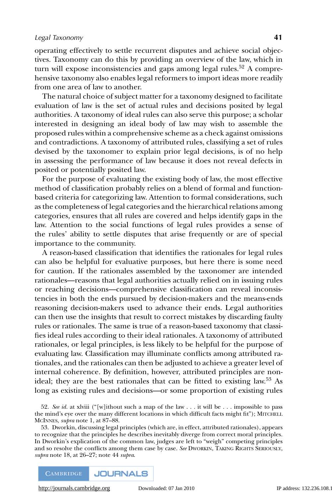operating effectively to settle recurrent disputes and achieve social objectives. Taxonomy can do this by providing an overview of the law, which in turn will expose inconsistencies and gaps among legal rules.<sup>52</sup> A comprehensive taxonomy also enables legal reformers to import ideas more readily from one area of law to another.

The natural choice of subject matter for a taxonomy designed to facilitate evaluation of law is the set of actual rules and decisions posited by legal authorities. A taxonomy of ideal rules can also serve this purpose; a scholar interested in designing an ideal body of law may wish to assemble the proposed rules within a comprehensive scheme as a check against omissions and contradictions. A taxonomy of attributed rules, classifying a set of rules devised by the taxonomer to explain prior legal decisions, is of no help in assessing the performance of law because it does not reveal defects in posited or potentially posited law.

For the purpose of evaluating the existing body of law, the most effective method of classification probably relies on a blend of formal and functionbased criteria for categorizing law. Attention to formal considerations, such as the completeness of legal categories and the hierarchical relations among categories, ensures that all rules are covered and helps identify gaps in the law. Attention to the social functions of legal rules provides a sense of the rules' ability to settle disputes that arise frequently or are of special importance to the community.

A reason-based classification that identifies the rationales for legal rules can also be helpful for evaluative purposes, but here there is some need for caution. If the rationales assembled by the taxonomer are intended rationales—reasons that legal authorities actually relied on in issuing rules or reaching decisions—comprehensive classification can reveal inconsistencies in both the ends pursued by decision-makers and the means-ends reasoning decision-makers used to advance their ends. Legal authorities can then use the insights that result to correct mistakes by discarding faulty rules or rationales. The same is true of a reason-based taxonomy that classifies ideal rules according to their ideal rationales. A taxonomy of attributed rationales, or legal principles, is less likely to be helpful for the purpose of evaluating law. Classification may illuminate conflicts among attributed rationales, and the rationales can then be adjusted to achieve a greater level of internal coherence. By definition, however, attributed principles are nonideal; they are the best rationales that can be fitted to existing law.<sup>53</sup> As long as existing rules and decisions—or some proportion of existing rules

52. *See id.* at xlviii ("[w]ithout such a map of the law . . . it will be . . . impossible to pass the mind's eye over the many different locations in which difficult facts might fit"); MITCHELL MCINNES, *supra* note 1, at 87–88.

53. Dworkin, discussing legal principles (which are, in effect, attributed rationales), appears to recognize that the principles he describes inevitably diverge from correct moral principles. In Dworkin's explication of the common law, judges are left to "weigh" competing principles and so resolve the conflicts among them case by case. *See* DWORKIN, TAKING RIGHTS SERIOUSLY, *supra* note 18, at 26–27; note 44 *supra*.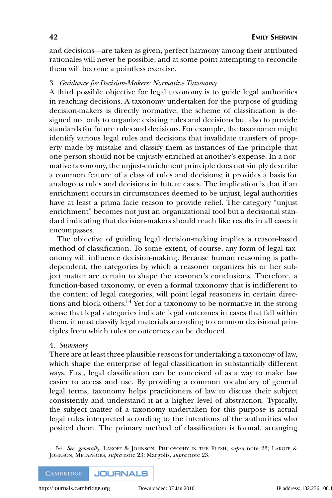and decisions—are taken as given, perfect harmony among their attributed rationales will never be possible, and at some point attempting to reconcile them will become a pointless exercise.

# 3. *Guidance for Decision-Makers: Normative Taxonomy*

A third possible objective for legal taxonomy is to guide legal authorities in reaching decisions. A taxonomy undertaken for the purpose of guiding decision-makers is directly normative; the scheme of classification is designed not only to organize existing rules and decisions but also to provide standards for future rules and decisions. For example, the taxonomer might identify various legal rules and decisions that invalidate transfers of property made by mistake and classify them as instances of the principle that one person should not be unjustly enriched at another's expense. In a normative taxonomy, the unjust-enrichment principle does not simply describe a common feature of a class of rules and decisions; it provides a basis for analogous rules and decisions in future cases. The implication is that if an enrichment occurs in circumstances deemed to be unjust, legal authorities have at least a prima facie reason to provide relief. The category "unjust enrichment" becomes not just an organizational tool but a decisional standard indicating that decision-makers should reach like results in all cases it encompasses.

The objective of guiding legal decision-making implies a reason-based method of classification. To some extent, of course, any form of legal taxonomy will influence decision-making. Because human reasoning is pathdependent, the categories by which a reasoner organizes his or her subject matter are certain to shape the reasoner's conclusions. Therefore, a function-based taxonomy, or even a formal taxonomy that is indifferent to the content of legal categories, will point legal reasoners in certain directions and block others.<sup>54</sup> Yet for a taxonomy to be normative in the strong sense that legal categories indicate legal outcomes in cases that fall within them, it must classify legal materials according to common decisional principles from which rules or outcomes can be deduced.

#### 4. *Summary*

There are at least three plausible reasons for undertaking a taxonomy of law, which shape the enterprise of legal classification in substantially different ways. First, legal classification can be conceived of as a way to make law easier to access and use. By providing a common vocabulary of general legal terms, taxonomy helps practitioners of law to discuss their subject consistently and understand it at a higher level of abstraction. Typically, the subject matter of a taxonomy undertaken for this purpose is actual legal rules interpreted according to the intentions of the authorities who posited them. The primary method of classification is formal, arranging

54. *See, generally*, LAKOFF & JOHNSON, PHILOSOPHY IN THE FLESH, *supra* note 23; LAKOFF & JOHNSON, METAPHORS, *supra* note 23; Margolis, *supra* note 23.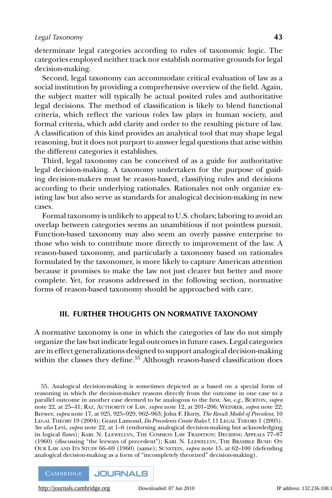determinate legal categories according to rules of taxonomic logic. The categories employed neither track nor establish normative grounds for legal decision-making.

Second, legal taxonomy can accommodate critical evaluation of law as a social institution by providing a comprehensive overview of the field. Again, the subject matter will typically be actual posited rules and authoritative legal decisions. The method of classification is likely to blend functional criteria, which reflect the various roles law plays in human society, and formal criteria, which add clarity and order to the resulting picture of law. A classification of this kind provides an analytical tool that may shape legal reasoning, but it does not purport to answer legal questions that arise within the different categories it establishes.

Third, legal taxonomy can be conceived of as a guide for authoritative legal decision-making. A taxonomy undertaken for the purpose of guiding decision-makers must be reason-based, classifying rules and decisions according to their underlying rationales. Rationales not only organize existing law but also serve as standards for analogical decision-making in new cases.

Formal taxonomy is unlikely to appeal to U.S. cholars; laboring to avoid an overlap between categories seems an unambitious if not pointless pursuit. Function-based taxonomy may also seem an overly passive enterprise to those who wish to contribute more directly to improvement of the law. A reason-based taxonomy, and particularly a taxonomy based on rationales formulated by the taxonomer, is more likely to capture American attention because it promises to make the law not just clearer but better and more complete. Yet, for reasons addressed in the following section, normative forms of reason-based taxonomy should be approached with care.

#### **III. FURTHER THOUGHTS ON NORMATIVE TAXONOMY**

A normative taxonomy is one in which the categories of law do not simply organize the law but indicate legal outcomes in future cases. Legal categories are in effect generalizations designed to support analogical decision-making within the classes they define.<sup>55</sup> Although reason-based classification does

<sup>55.</sup> Analogical decision-making is sometimes depicted as a based on a special form of reasoning in which the decision-maker reasons directly from the outcome in one case to a parallel outcome in another case deemed to be analogous to the first. *See, e.g.*, BURTON, *supra* note 22, at 25–41; RAZ, AUTHORITY OF LAW, *supra* note 12, at 201–206; WEINREB, *supra* note 22; Brewer, *supra* note 17, at 925, 925–929, 962–963; John F. Horty, *The Result Model of Precedent*, 10 LEGAL THEORY 19 (2004); Grant Lamond, *Do Precedents Create Rules?*, 11 LEGAL THEORY 1 (2005). *See also* Levi, *supra* note 22, at 1–6 (endorsing analogical decision-making but acknowledging its logical flaws); KARL N. LLEWELLYN, THE COMMON LAW TRADITION: DECIDING APPEALS 77–87 (1960) (discussing "the leeways of precedent"); KARL N. LLEWELLYN, THE BRAMBLE BUSH: ON OUR LAW AND ITS STUDY 66–69 (1960) (same); SUNSTEIN, *supra* note 15, at 62–100 (defending analogical decision-making as a form of "incompletely theorized" decision-making).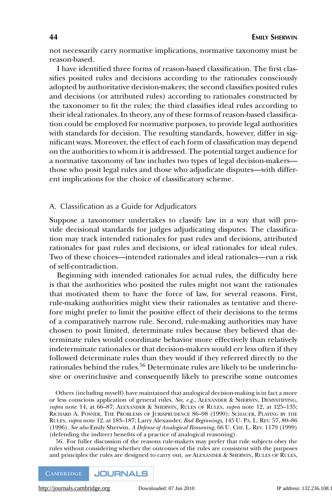not necessarily carry normative implications, normative taxonomy must be reason-based.

I have identified three forms of reason-based classification. The first classifies posited rules and decisions according to the rationales consciously adopted by authoritative decision-makers; the second classifies posited rules and decisions (or attributed rules) according to rationales constructed by the taxonomer to fit the rules; the third classifies ideal rules according to their ideal rationales. In theory, any of these forms of reason-based classification could be employed for normative purposes, to provide legal authorities with standards for decision. The resulting standards, however, differ in significant ways. Moreover, the effect of each form of classification may depend on the authorities to whom it is addressed. The potential target audience for a normative taxonomy of law includes two types of legal decision-makers those who posit legal rules and those who adjudicate disputes—with different implications for the choice of classificatory scheme.

#### A. Classification as a Guide for Adjudicators

Suppose a taxonomer undertakes to classify law in a way that will provide decisional standards for judges adjudicating disputes. The classification may track intended rationales for past rules and decisions, attributed rationales for past rules and decisions, or ideal rationales for ideal rules. Two of these choices—intended rationales and ideal rationales—run a risk of self-contradiction.

Beginning with intended rationales for actual rules, the difficulty here is that the authorities who posited the rules might not want the rationales that motivated them to have the force of law, for several reasons. First, rule-making authorities might view their rationales as tentative and therefore might prefer to limit the positive effect of their decisions to the terms of a comparatively narrow rule. Second, rule-making authorities may have chosen to posit limited, determinate rules because they believed that determinate rules would coordinate behavior more effectively than relatively indeterminate rationales or that decision-makers would err less often if they followed determinate rules than they would if they referred directly to the rationales behind the rules.<sup>56</sup> Determinate rules are likely to be underinclusive or overinclusive and consequently likely to prescribe some outcomes

Others (including myself) have maintained that analogical decision-making is in fact a more or less conscious application of general rules. *See, e.g.*, ALEXANDER & SHERWIN, DEMYSTIFYING, *supra* note 14, at 66–87; ALEXANDER & SHERWIN, RULES OF RULES, *supra* note 12, at 125–135; RICHARD A. POSNER, THE PROBLEMS OF JURISPRUDENCE 86–98 (1990); SCHAUER, PLAYING BY THE RULES, *supra* note 12, at 183–187; Larry Alexander, *Bad Beginnings*, 145 U. PA. L. REV. 57, 80–86 (1996). *See also* Emily Sherwin, *A Defense of Analogical Reasoning*, 66 U. CHI. L. REV. 1179 (1999) (defending the indirect benefits of a practice of analogical reasoning).

56. For fuller discussion of the reasons rule-makers may prefer that rule subjects obey the rules without considering whether the outcomes of the rules are consistent with the purposes and principles the rules are designed to carry out, *see* ALEXANDER & SHERWIN, RULES OF RULES,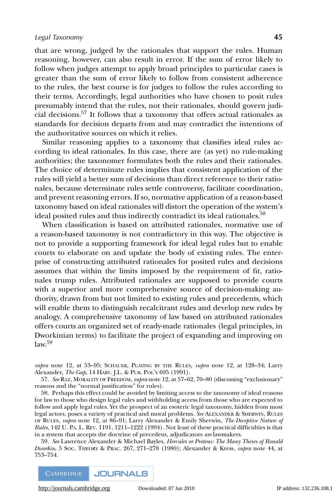that are wrong, judged by the rationales that support the rules. Human reasoning, however, can also result in error. If the sum of error likely to follow when judges attempt to apply broad principles to particular cases is greater than the sum of error likely to follow from consistent adherence to the rules, the best course is for judges to follow the rules according to their terms. Accordingly, legal authorities who have chosen to posit rules presumably intend that the rules, not their rationales, should govern judicial decisions.57 It follows that a taxonomy that offers actual rationales as standards for decision departs from and may contradict the intentions of the authoritative sources on which it relies.

Similar reasoning applies to a taxonomy that classifies ideal rules according to ideal rationales. In this case, there are (as yet) no rule-making authorities; the taxonomer formulates both the rules and their rationales. The choice of determinate rules implies that consistent application of the rules will yield a better sum of decisions than direct reference to their rationales, because determinate rules settle controversy, facilitate coordination, and prevent reasoning errors. If so, normative application of a reason-based taxonomy based on ideal rationales will distort the operation of the system's ideal posited rules and thus indirectly contradict its ideal rationales.<sup>58</sup>

When classification is based on attributed rationales, normative use of a reason-based taxonomy is not contradictory in this way. The objective is not to provide a supporting framework for ideal legal rules but to enable courts to elaborate on and update the body of existing rules. The enterprise of constructing attributed rationales for posited rules and decisions assumes that within the limits imposed by the requirement of fit, rationales trump rules. Attributed rationales are supposed to provide courts with a superior and more comprehensive source of decision-making authority, drawn from but not limited to existing rules and precedents, which will enable them to distinguish recalcitrant rules and develop new rules by analogy. A comprehensive taxonomy of law based on attributed rationales offers courts an organized set of ready-made rationales (legal principles, in Dworkinian terms) to facilitate the project of expanding and improving on  $law.59$ 

*supra* note 12, at 53–95; SCHAUER, PLAYING BY THE RULES, *supra* note 12, at 128–34; Larry Alexander, *The Gap*, 14 HARV. J.L. & PUB. POL'Y 695 (1991).

57. *See* RAZ, MORALITY OF FREEDOM, *supra* note 12, at 57–62, 70–80 (discussing "exclusionary" reasons and the "normal justification" for rules).

58. Perhaps this effect could be avoided by limiting access to the taxonomy of ideal reasons for law to those who design legal rules and withholding access from those who are expected to follow and apply legal rules. Yet the prospect of an esoteric legal taxonomy, hidden from most legal actors, poses a variety of practical and moral problems. *See* ALEXANDER & SHERWIN, RULES OF RULES, *supra* note 12, at 86–91; Larry Alexander & Emily Sherwin, *The Deceptive Nature of Rules*, 142 U. PA. L. REV. 1191, 1211–1222 (1994). Not least of these practical difficulties is that in a system that accepts the doctrine of precedent, adjudicators *are* lawmakers.

59. *See* Lawrence Alexander & Michael Bayles, *Hercules or Proteus: The Many Theses of Ronald Dworkin*,5SOC. THEORY & PRAC. 267, 271–278 (1980); Alexander & Kress, *supra* note 44, at 753–754.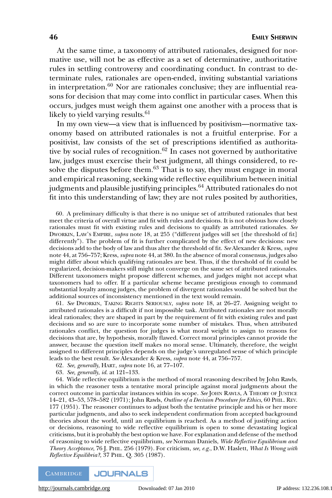At the same time, a taxonomy of attributed rationales, designed for normative use, will not be as effective as a set of determinative, authoritative rules in settling controversy and coordinating conduct. In contrast to determinate rules, rationales are open-ended, inviting substantial variations in interpretation. $60$  Nor are rationales conclusive; they are influential reasons for decision that may come into conflict in particular cases. When this occurs, judges must weigh them against one another with a process that is likely to yield varying results.<sup>61</sup>

In my own view—a view that is influenced by positivism—normative taxonomy based on attributed rationales is not a fruitful enterprise. For a positivist, law consists of the set of prescriptions identified as authoritative by social rules of recognition. $62$  In cases not governed by authoritative law, judges must exercise their best judgment, all things considered, to resolve the disputes before them. $63$  That is to say, they must engage in moral and empirical reasoning, seeking wide reflective equilibrium between initial judgments and plausible justifying principles.<sup>64</sup> Attributed rationales do not fit into this understanding of law; they are not rules posited by authorities,

60. A preliminary difficulty is that there is no unique set of attributed rationales that best meet the criteria of overall virtue and fit with rules and decisions. It is not obvious how closely rationales must fit with existing rules and decisions to qualify as attributed rationales. *See* DWORKIN, LAW'S EMPIRE, *supra* note 18, at 255 ("different judges will set [the threshold of fit] differently"). The problem of fit is further complicated by the effect of new decisions: new decisions add to the body of law and thus alter the threshold of fit. *See* Alexander & Kress, *supra* note 44, at 756–757; Kress, *supra* note 44, at 380. In the absence of moral consensus, judges also might differ about which qualifying rationales are best. Thus, if the threshold of fit could be regularized, decision-makers still might not converge on the same set of attributed rationales. Different taxonomers might propose different schemes, and judges might not accept what taxonomers had to offer. If a particular scheme became prestigious enough to command substantial loyalty among judges, the problem of divergent rationales would be solved but the additional sources of inconsistency mentioned in the text would remain.

61. *See* DWORKIN, TAKING RIGHTS SERIOUSLY, *supra* note 18, at 26–27. Assigning weight to attributed rationales is a difficult if not impossible task. Attributed rationales are not morally ideal rationales; they are shaped in part by the requirement of fit with existing rules and past decisions and so are sure to incorporate some number of mistakes. Thus, when attributed rationales conflict, the question for judges is what moral weight to assign to reasons for decisions that are, by hypothesis, morally flawed. Correct moral principles cannot provide the answer, because the question itself makes no moral sense. Ultimately, therefore, the weight assigned to different principles depends on the judge's unregulated sense of which principle leads to the best result. *See* Alexander & Kress, *supra* note 44, at 756–757.

62. *See, generally*, HART, *supra* note 16, at 77–107.

63. *See, generally*, *id.* at 121–133.

64. Wide reflective equilibrium is the method of moral reasoning described by John Rawls, in which the reasoner tests a tentative moral principle against moral judgments about the correct outcome in particular instances within its scope. *See* JOHN RAWLS, A THEORY OF JUSTICE 14–21, 43–53, 578–582 (1971); John Rawls, *Outline of a Decision Procedure for Ethics*, 60 PHIL. REV. 177 (1951). The reasoner continues to adjust both the tentative principle and his or her more particular judgments, and also to seek independent confirmation from accepted background theories about the world, until an equilibrium is reached. As a method of justifying action or decisions, reasoning to wide reflective equilibrium is open to some devastating logical criticisms, but it is probably the best option we have. For explanation and defense of the method of reasoning to wide reflective equilibrium, *see* Norman Daniels, *Wide Reflective Equilibrium and Theory Acceptance*, 76 J. PHIL. 256 (1979). For criticism, *see, e.g.*, D.W. Haslett, *What Is Wrong with Reflective Equilibria?*, 37 PHIL. Q. 305 (1987).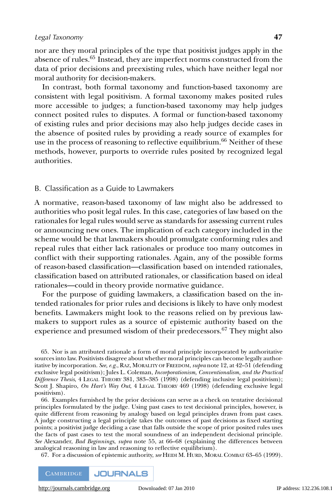nor are they moral principles of the type that positivist judges apply in the absence of rules.65 Instead, they are imperfect norms constructed from the data of prior decisions and preexisting rules, which have neither legal nor moral authority for decision-makers.

In contrast, both formal taxonomy and function-based taxonomy are consistent with legal positivism. A formal taxonomy makes posited rules more accessible to judges; a function-based taxonomy may help judges connect posited rules to disputes. A formal or function-based taxonomy of existing rules and prior decisions may also help judges decide cases in the absence of posited rules by providing a ready source of examples for use in the process of reasoning to reflective equilibrium.<sup>66</sup> Neither of these methods, however, purports to override rules posited by recognized legal authorities.

# B. Classification as a Guide to Lawmakers

A normative, reason-based taxonomy of law might also be addressed to authorities who posit legal rules. In this case, categories of law based on the rationales for legal rules would serve as standards for assessing current rules or announcing new ones. The implication of each category included in the scheme would be that lawmakers should promulgate conforming rules and repeal rules that either lack rationales or produce too many outcomes in conflict with their supporting rationales. Again, any of the possible forms of reason-based classification—classification based on intended rationales, classification based on attributed rationales, or classification based on ideal rationales—could in theory provide normative guidance.

For the purpose of guiding lawmakers, a classification based on the intended rationales for prior rules and decisions is likely to have only modest benefits. Lawmakers might look to the reasons relied on by previous lawmakers to support rules as a source of epistemic authority based on the experience and presumed wisdom of their predecessors.<sup>67</sup> They might also

65. Nor is an attributed rationale a form of moral principle incorporated by authoritative sources into law. Positivists disagree about whether moral principles can become legally authoritative by incorporation. *See, e.g.*, RAZ, MORALITY OF FREEDOM, *supra* note 12, at 42–51 (defending exclusive legal positivism); Jules L. Coleman, *Incorporationism, Conventionalism, and the Practical Difference Thesis*,4LEGAL THEORY 381, 383–385 (1998) (defending inclusive legal positivism); Scott J. Shapiro, *On Hart's Way Out*, 4 LEGAL THEORY 469 (1998) (defending exclusive legal positivism).

66. Examples furnished by the prior decisions can serve as a check on tentative decisional principles formulated by the judge. Using past cases to test decisional principles, however, is quite different from reasoning by analogy based on legal principles drawn from past cases. A judge constructing a legal principle takes the outcomes of past decisions as fixed starting points; a positivist judge deciding a case that falls outside the scope of prior posited rules uses the facts of past cases to test the moral soundness of an independent decisional principle. *See* Alexander, *Bad Beginnings*, *supra* note 55, at 66–68 (explaining the differences between analogical reasoning in law and reasoning to reflective equilibrium).

67. For a discussion of epistemic authority, *see* HEIDI M. HURD, MORAL COMBAT 63–65 (1999).

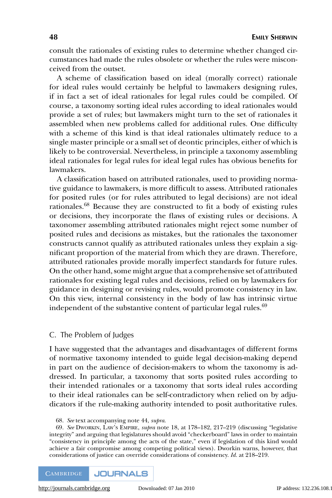consult the rationales of existing rules to determine whether changed circumstances had made the rules obsolete or whether the rules were misconceived from the outset.

A scheme of classification based on ideal (morally correct) rationale for ideal rules would certainly be helpful to lawmakers designing rules, if in fact a set of ideal rationales for legal rules could be compiled. Of course, a taxonomy sorting ideal rules according to ideal rationales would provide a set of rules; but lawmakers might turn to the set of rationales it assembled when new problems called for additional rules. One difficulty with a scheme of this kind is that ideal rationales ultimately reduce to a single master principle or a small set of deontic principles, either of which is likely to be controversial. Nevertheless, in principle a taxonomy assembling ideal rationales for legal rules for ideal legal rules has obvious benefits for lawmakers.

A classification based on attributed rationales, used to providing normative guidance to lawmakers, is more difficult to assess. Attributed rationales for posited rules (or for rules attributed to legal decisions) are not ideal rationales.<sup>68</sup> Because they are constructed to fit a body of existing rules or decisions, they incorporate the flaws of existing rules or decisions. A taxonomer assembling attributed rationales might reject some number of posited rules and decisions as mistakes, but the rationales the taxonomer constructs cannot qualify as attributed rationales unless they explain a significant proportion of the material from which they are drawn. Therefore, attributed rationales provide morally imperfect standards for future rules. On the other hand, some might argue that a comprehensive set of attributed rationales for existing legal rules and decisions, relied on by lawmakers for guidance in designing or revising rules, would promote consistency in law. On this view, internal consistency in the body of law has intrinsic virtue independent of the substantive content of particular legal rules.<sup>69</sup>

#### C. The Problem of Judges

I have suggested that the advantages and disadvantages of different forms of normative taxonomy intended to guide legal decision-making depend in part on the audience of decision-makers to whom the taxonomy is addressed. In particular, a taxonomy that sorts posited rules according to their intended rationales or a taxonomy that sorts ideal rules according to their ideal rationales can be self-contradictory when relied on by adjudicators if the rule-making authority intended to posit authoritative rules.

<sup>68.</sup> *See* text accompanying note 44, *supra*.

<sup>69.</sup> *See* DWORKIN, LAW'S EMPIRE, *supra* note 18, at 178–182, 217–219 (discussing "legislative integrity" and arguing that legislatures should avoid "checkerboard" laws in order to maintain "consistency in principle among the acts of the state," even if legislation of this kind would achieve a fair compromise among competing political views). Dworkin warns, however, that considerations of justice can override considerations of consistency. *Id.* at 218–219.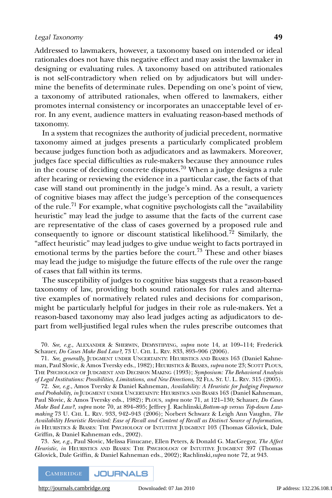Addressed to lawmakers, however, a taxonomy based on intended or ideal rationales does not have this negative effect and may assist the lawmaker in designing or evaluating rules. A taxonomy based on attributed rationales is not self-contradictory when relied on by adjudicators but will undermine the benefits of determinate rules. Depending on one's point of view, a taxonomy of attributed rationales, when offered to lawmakers, either promotes internal consistency or incorporates an unacceptable level of error. In any event, audience matters in evaluating reason-based methods of taxonomy.

In a system that recognizes the authority of judicial precedent, normative taxonomy aimed at judges presents a particularly complicated problem because judges function both as adjudicators and as lawmakers. Moreover, judges face special difficulties as rule-makers because they announce rules in the course of deciding concrete disputes.<sup>70</sup> When a judge designs a rule after hearing or reviewing the evidence in a particular case, the facts of that case will stand out prominently in the judge's mind. As a result, a variety of cognitive biases may affect the judge's perception of the consequences of the rule.<sup>71</sup> For example, what cognitive psychologists call the "availability" heuristic" may lead the judge to assume that the facts of the current case are representative of the class of cases governed by a proposed rule and consequently to ignore or discount statistical likelihood.<sup>72</sup> Similarly, the "affect heuristic" may lead judges to give undue weight to facts portrayed in emotional terms by the parties before the court.<sup>73</sup> These and other biases may lead the judge to misjudge the future effects of the rule over the range of cases that fall within its terms.

The susceptibility of judges to cognitive bias suggests that a reason-based taxonomy of law, providing both sound rationales for rules and alternative examples of normatively related rules and decisions for comparison, might be particularly helpful for judges in their role as rule-makers. Yet a reason-based taxonomy may also lead judges acting as adjudicators to depart from well-justified legal rules when the rules prescribe outcomes that

70. *See, e.g.*, ALEXANDER & SHERWIN, DEMYSTIFYING, *supra* note 14, at 109–114; Frederick Schauer, *Do Cases Make Bad Law?*, 73 U. CHI. L. REV. 833, 893–906 (2006).

71. *See, generally,* JUDGMENT UNDER UNCERTAINTY: HEURISTICS AND BIASES 163 (Daniel Kahneman, Paul Slovic, & Amos Tversky eds., 1982); HEURISTICS & BIASES, *supra* note 23; SCOTT PLOUS, THE PSYCHOLOGY OF JUDGMENT AND DECISION MAKING (1993); *Symposium: The Behavioral Analysis of Legal Institutions: Possibilities, Limitations, and New Directions*, 32 FLA. ST. U. L. REV. 315 (2005).

72. *See, e.g.*, Amos Tversky & Daniel Kahneman, *Availability: A Heuristic for Judging Frequence and Probability*, *in* JUDGMENT UNDER UNCERTAINTY: HEURISTICS AND BIASES 163 (Daniel Kahneman, Paul Slovic, & Amos Tversky eds., 1982); PLOUS, *supra* note 71, at 121–130; Schauer, *Do Cases Make Bad Law?*, *supra* note 70, at 894–895; Jeffrey J. Rachlinski,*Bottom-up versus Top-down Lawmaking* 73 U. CHI. L. REV. 933, 942–943 (2006); Norbert Schwarz & Leigh Ann Vaughn, *The Availability Heuristic Revisited: Ease of Recall and Content of Recall as Distinct Source of Information*, *in* HEURISTICS & BIASES: THE PSYCHOLOGY OF INTUITIVE JUDGMENT 103 (Thomas Gilovick, Dale Griffin, & Daniel Kahneman eds., 2002).

73. *See, e.g.*, Paul Slovic, Melissa Finucane, Ellen Peters, & Donald G. MacGregor, *The Affect Heuristic*, *in* HEURISTICS AND BIASES: THE PSYCHOLOGY OF INTUITIVE JUDGMENT 397 (Thomas Gilovick, Dale Griffin, & Daniel Kahneman eds., 2002); Rachlinski,*supra* note 72, at 943.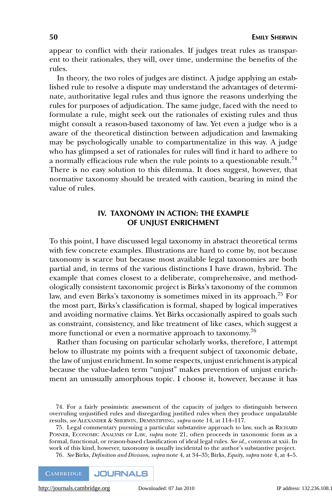appear to conflict with their rationales. If judges treat rules as transparent to their rationales, they will, over time, undermine the benefits of the rules.

In theory, the two roles of judges are distinct. A judge applying an established rule to resolve a dispute may understand the advantages of determinate, authoritative legal rules and thus ignore the reasons underlying the rules for purposes of adjudication. The same judge, faced with the need to formulate a rule, might seek out the rationales of existing rules and thus might consult a reason-based taxonomy of law. Yet even a judge who is a aware of the theoretical distinction between adjudication and lawmaking may be psychologically unable to compartmentalize in this way. A judge who has glimpsed a set of rationales for rules will find it hard to adhere to a normally efficacious rule when the rule points to a questionable result.<sup>74</sup> There is no easy solution to this dilemma. It does suggest, however, that normative taxonomy should be treated with caution, bearing in mind the value of rules.

# **IV. TAXONOMY IN ACTION: THE EXAMPLE OF UNJUST ENRICHMENT**

To this point, I have discussed legal taxonomy in abstract theoretical terms with few concrete examples. Illustrations are hard to come by, not because taxonomy is scarce but because most available legal taxonomies are both partial and, in terms of the various distinctions I have drawn, hybrid. The example that comes closest to a deliberate, comprehensive, and methodologically consistent taxonomic project is Birks's taxonomy of the common law, and even Birks's taxonomy is sometimes mixed in its approach.75 For the most part, Birks's classification is formal, shaped by logical imperatives and avoiding normative claims. Yet Birks occasionally aspired to goals such as constraint, consistency, and like treatment of like cases, which suggest a more functional or even a normative approach to taxonomy.<sup>76</sup>

Rather than focusing on particular scholarly works, therefore, I attempt below to illustrate my points with a frequent subject of taxonomic debate, the law of unjust enrichment. In some respects, unjust enrichment is atypical because the value-laden term "unjust" makes prevention of unjust enrichment an unusually amorphous topic. I choose it, however, because it has

76. *See* Birks, *Definition and Division*, *supra* note 4, at 34–35; Birks, *Equity*, *supra* note 4, at 4–5.



<sup>74.</sup> For a fairly pessimistic assessment of the capacity of judges to distinguish between overruling unjustified rules and disregarding justified rules when they produce unpalatable results, *see* ALEXANDER & SHERWIN, DEMYSTIFYING, *supra* note 14, at 114–117.

<sup>75.</sup> Legal commentary pursuing a particular substantive approach to law, such as RICHARD POSNER, ECONOMIC ANALYSIS OF LAW, *supra* note 21, often proceeds in taxonomic form as a formal, functional, or reason-based classification of ideal legal rules. *See id.,* contents at xxii. In work of this kind, however, taxonomy is usually incidental to the author's substantive project.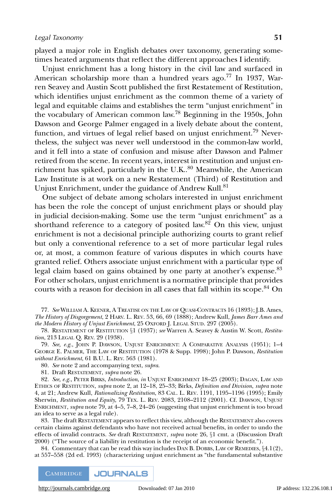played a major role in English debates over taxonomy, generating sometimes heated arguments that reflect the different approaches I identify.

Unjust enrichment has a long history in the civil law and surfaced in American scholarship more than a hundred years ago.<sup>77</sup> In 1937, Warren Seavey and Austin Scott published the first Restatement of Restitution, which identifies unjust enrichment as the common theme of a variety of legal and equitable claims and establishes the term "unjust enrichment" in the vocabulary of American common law.<sup>78</sup> Beginning in the 1950s, John Dawson and George Palmer engaged in a lively debate about the content, function, and virtues of legal relief based on unjust enrichment.<sup>79</sup> Nevertheless, the subject was never well understood in the common-law world, and it fell into a state of confusion and misuse after Dawson and Palmer retired from the scene. In recent years, interest in restitution and unjust enrichment has spiked, particularly in the U.K. $^{80}$  Meanwhile, the American Law Institute is at work on a new Restatement (Third) of Restitution and Unjust Enrichment, under the guidance of Andrew Kull.<sup>81</sup>

One subject of debate among scholars interested in unjust enrichment has been the role the concept of unjust enrichment plays or should play in judicial decision-making. Some use the term "unjust enrichment" as a shorthand reference to a category of posited law.<sup>82</sup> On this view, unjust enrichment is not a decisional principle authorizing courts to grant relief but only a conventional reference to a set of more particular legal rules or, at most, a common feature of various disputes in which courts have granted relief. Others associate unjust enrichment with a particular type of legal claim based on gains obtained by one party at another's expense.<sup>83</sup> For other scholars, unjust enrichment is a normative principle that provides courts with a reason for decision in all cases that fall within its scope.<sup>84</sup> On

77. *See* WILLIAM A. KEENER,ATREATISE ON THE LAW OF QUASI-CONTRACTS 16 (1893); J.B. Ames, *The History of Disgorgement*,2HARV. L. REV. 53, 66, 69 (1888); Andrew Kull, *James Barr Ames and the Modern History of Unjust Enrichment*, 25 OXFORD J. LEGAL STUD. 297 (2005).

78. RESTATEMENT OF RESTITUTION §1 (1937); *see* Warren A. Seavey & Austin W. Scott, *Restitution*, 213 LEGAL Q. REV. 29 (1938).

79. See, e.g., JOHN P. DAWSON, UNJUST ENRICHMENT: A COMPARATIVE ANALYSIS (1951); 1-4 GEORGE E. PALMER, THE LAW OF RESTITUTION (1978 & Supp. 1998); John P. Dawson, *Restitution without Enrichment*, 61 B.U. L. REV. 563 (1981).

80. *See* note 2 and accompanying text, *supra*.

81. Draft RESTATEMENT, *supra* note 26.

82. *See, e.g.*, PETER BIRKS, *Introduction*, *in* UNJUST ENRICHMENT 18–25 (2003); DAGAN, LAW AND ETHICS OF RESTITUTION, *supra* note 2, at 12–18, 25–33; Birks, *Definition and Division*, *supra* note 4, at 21; Andrew Kull, *Rationalizing Restitution*, 83 CAL. L. REV. 1191, 1195–1196 (1995); Emily Sherwin, *Restitution and Equity*, 79 TEX. L. REV. 2083, 2108–2112 (2001). Cf. DAWSON, UNJUST ENRICHMENT, *supra* note 79, at 4–5, 7–8, 24–26 (suggesting that unjust enrichment is too broad an idea to serve as a legal rule).

83. The draft RESTATEMENT appears to reflect this view, although the RESTATEMENT also covers certain claims against defendants who have not received actual benefits, in order to undo the effects of invalid contracts. *See* draft RESTATEMENT, *supra* note 26, §1 cmt. a (Discussion Draft 2000) ("The source of a liability in restitution is the receipt of an economic benefit.").

84. Commentary that can be read this way includes DAN B. DOBBS, LAW OF REMEDIES, §4.1(2), at 557–558 (2d ed. 1993) (characterizing unjust enrichment as "the fundamental substantive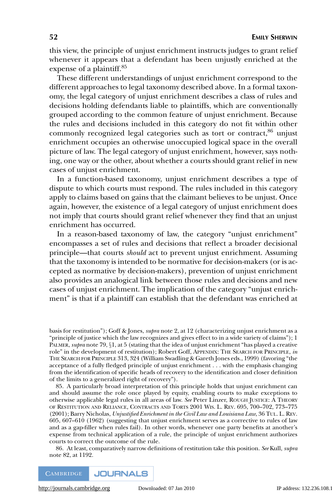this view, the principle of unjust enrichment instructs judges to grant relief whenever it appears that a defendant has been unjustly enriched at the expense of a plaintiff.<sup>85</sup>

These different understandings of unjust enrichment correspond to the different approaches to legal taxonomy described above. In a formal taxonomy, the legal category of unjust enrichment describes a class of rules and decisions holding defendants liable to plaintiffs, which are conventionally grouped according to the common feature of unjust enrichment. Because the rules and decisions included in this category do not fit within other commonly recognized legal categories such as tort or contract, $86$  unjust enrichment occupies an otherwise unoccupied logical space in the overall picture of law. The legal category of unjust enrichment, however, says nothing, one way or the other, about whether a courts should grant relief in new cases of unjust enrichment.

In a function-based taxonomy, unjust enrichment describes a type of dispute to which courts must respond. The rules included in this category apply to claims based on gains that the claimant believes to be unjust. Once again, however, the existence of a legal category of unjust enrichment does not imply that courts should grant relief whenever they find that an unjust enrichment has occurred.

In a reason-based taxonomy of law, the category "unjust enrichment" encompasses a set of rules and decisions that reflect a broader decisional principle—that courts *should* act to prevent unjust enrichment. Assuming that the taxonomy is intended to be normative for decision-makers (or is accepted as normative by decision-makers), prevention of unjust enrichment also provides an analogical link between those rules and decisions and new cases of unjust enrichment. The implication of the category "unjust enrichment" is that if a plaintiff can establish that the defendant was enriched at

basis for restitution"); Goff & Jones, *supra* note 2, at 12 (characterizing unjust enrichment as a "principle of justice which the law recognizes and gives effect to in a wide variety of claims"); 1 PALMER, *supra* note 79, §1, at 5 (stating that the idea of unjust enrichment "has played a creative role" in the development of restitution); Robert Goff, APPENDIX: THE SEARCH FOR PRINCIPLE, *in* THE SEARCH FOR PRINCIPLE 313, 324 (William Swadling & Gareth Jones eds., 1999) (favoring "the acceptance of a fully fledged principle of unjust enrichment . . . with the emphasis changing from the identification of specific heads of recovery to the identification and closer definition of the limits to a generalized right of recovery").

85. A particularly broad interpretation of this principle holds that unjust enrichment can and should assume the role once played by equity, enabling courts to make exceptions to otherwise applicable legal rules in all areas of law. *See* Peter Linzer, ROUGH JUSTICE:ATHEORY OF RESTITUTION AND RELIANCE, CONTRACTS AND TORTS 2001 WIS. L. REV. 695, 700–702, 773–775 (2001); Barry Nicholas, *Unjustified Enrichment in the Civil Law and Louisiana Law*, 36 TUL. L. REV. 605, 607–610 (1962) (suggesting that unjust enrichment serves as a corrective to rules of law and as a gap-filler when rules fail). In other words, whenever one party benefits at another's expense from technical application of a rule, the principle of unjust enrichment authorizes courts to correct the outcome of the rule.

86. At least, comparatively narrow definitions of restitution take this position. *See* Kull, *supra* note 82, at 1192.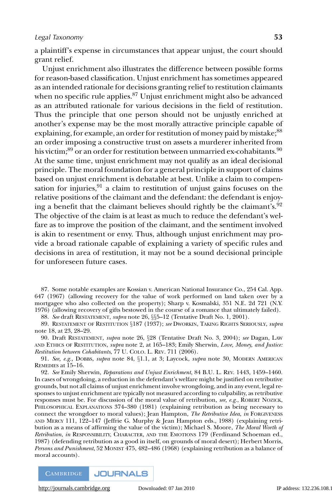a plaintiff's expense in circumstances that appear unjust, the court should grant relief.

Unjust enrichment also illustrates the difference between possible forms for reason-based classification. Unjust enrichment has sometimes appeared as an intended rationale for decisions granting relief to restitution claimants when no specific rule applies. $87$  Unjust enrichment might also be advanced as an attributed rationale for various decisions in the field of restitution. Thus the principle that one person should not be unjustly enriched at another's expense may be the most morally attractive principle capable of explaining, for example, an order for restitution of money paid by mistake;<sup>88</sup> an order imposing a constructive trust on assets a murderer inherited from his victim;<sup>89</sup> or an order for restitution between unmarried ex-cohabitants.<sup>90</sup> At the same time, unjust enrichment may not qualify as an ideal decisional principle. The moral foundation for a general principle in support of claims based on unjust enrichment is debatable at best. Unlike a claim to compensation for injuries,  $91$  a claim to restitution of unjust gains focuses on the relative positions of the claimant and the defendant: the defendant is enjoying a benefit that the claimant believes should rightly be the claimant's.<sup>92</sup> The objective of the claim is at least as much to reduce the defendant's welfare as to improve the position of the claimant, and the sentiment involved is akin to resentment or envy. Thus, although unjust enrichment may provide a broad rationale capable of explaining a variety of specific rules and decisions in area of restitution, it may not be a sound decisional principle for unforeseen future cases.

87. Some notable examples are Kossian v. American National Insurance Co., 254 Cal. App. 647 (1967) (allowing recovery for the value of work performed on land taken over by a mortgagee who also collected on the property); Sharp v. Kosmalski, 351 N.E. 2d 721 (N.Y. 1976) (allowing recovery of gifts bestowed in the course of a romance that ultimately failed).

88. *See* draft RESTATEMENT, *supra* note 26, §§5–12 (Tentative Draft No. 1, 2001).

89. RESTATEMENT OF RESTITUTION §187 (1937); *see* DWORKIN, TAKING RIGHTS SERIOUSLY, *supra* note 18, at 23, 28–29.

90. Draft RESTATEMENT, *supra* note 26, §28 (Tentative Draft No. 3, 2004); *see* Dagan, LAW AND ETHICS OF RESTITUTION, *supra* note 2, at 165–183; Emily Sherwin, *Love, Money, and Justice: Restitution between Cohabitants*, 77 U. COLO. L. REV. 711 (2006).

91. *See, e.g.,* DOBBS, *supra* note 84, §1.1, at 3; Laycock, *supra* note 30, MODERN AMERICAN REMEDIES at 15–16.

92. *See* Emily Sherwin, *Reparations and Unjust Enrichment*, 84 B.U. L. REV. 1443, 1459–1460. In cases of wrongdoing, a reduction in the defendant's welfare might be justified on retributive grounds, but not all claims of unjust enrichment involve wrongdoing, and in any event, legal responses to unjust enrichment are typically not measured according to culpability, as retributive responses must be. For discussion of the moral value of retribution, *see, e.g.*, ROBERT NOZICK, PHILOSOPHICAL EXPLANATIONS 374–380 (1981) (explaining retribution as being necessary to connect the wrongdoer to moral values); Jean Hampton, *The Retributive Idea*, *in* FORGIVENESS AND MERCY 111, 122–147 (Jeffrie G. Murphy & Jean Hampton eds., 1988) (explaining retribution as a means of affirming the value of the victim); Michael S. Moore, *The Moral Worth of Retribution*, *in* RESPONSIBILITY, CHARACTER, AND THE EMOTIONS 179 (Ferdinand Schoeman ed., 1987) (defending retribution as a good in itself, on grounds of moral desert); Herbert Morris, *Persons and Punishment*, 52 MONIST 475, 482–486 (1968) (explaining retribution as a balance of moral accounts).